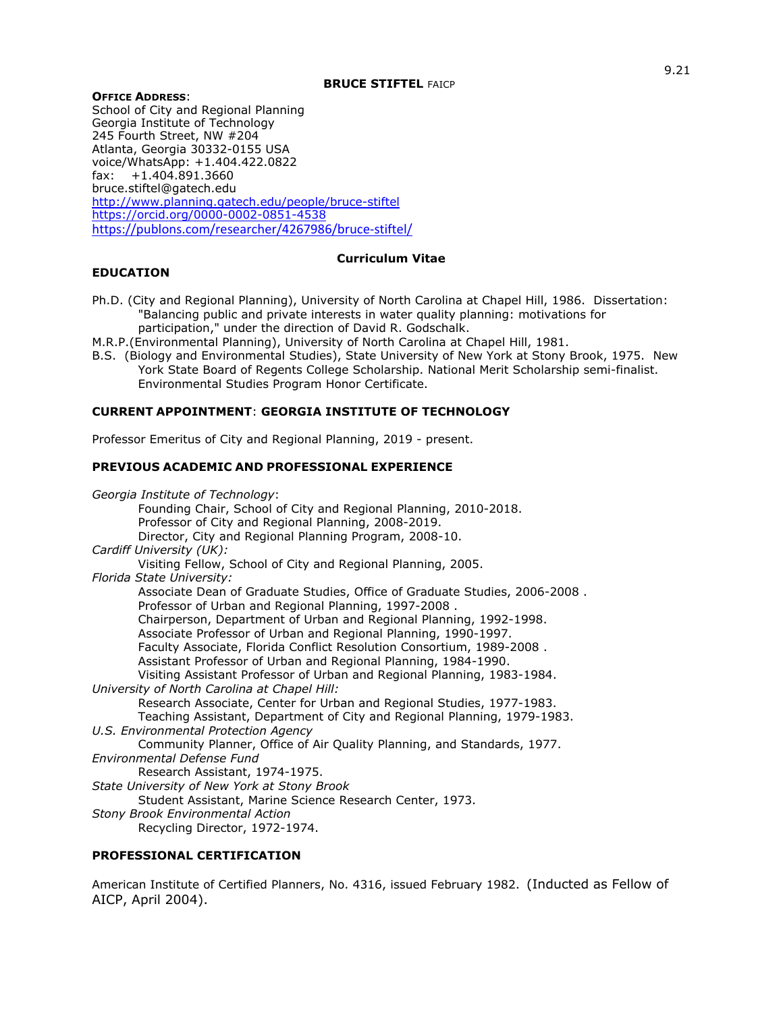### **OFFICE ADDRESS**:

School of City and Regional Planning Georgia Institute of Technology 245 Fourth Street, NW #204 Atlanta, Georgia 30332-0155 USA voice/WhatsApp: +1.404.422.0822 fax: +1.404.891.3660 bruce.stiftel@gatech.edu http://www.planning.gatech.edu/people/bruce-stiftel https://orcid.org/0000-0002-0851-4538 https://publons.com/researcher/4267986/bruce-stiftel/

## **Curriculum Vitae**

## **EDUCATION**

- Ph.D. (City and Regional Planning), University of North Carolina at Chapel Hill, 1986. Dissertation: "Balancing public and private interests in water quality planning: motivations for participation," under the direction of David R. Godschalk.
- M.R.P.(Environmental Planning), University of North Carolina at Chapel Hill, 1981.
- B.S. (Biology and Environmental Studies), State University of New York at Stony Brook, 1975. New York State Board of Regents College Scholarship. National Merit Scholarship semi-finalist. Environmental Studies Program Honor Certificate.

## **CURRENT APPOINTMENT**: **GEORGIA INSTITUTE OF TECHNOLOGY**

Professor Emeritus of City and Regional Planning, 2019 - present.

## **PREVIOUS ACADEMIC AND PROFESSIONAL EXPERIENCE**

| Georgia Institute of Technology:                                                                                                   |
|------------------------------------------------------------------------------------------------------------------------------------|
| Founding Chair, School of City and Regional Planning, 2010-2018.                                                                   |
| Professor of City and Regional Planning, 2008-2019.                                                                                |
| Director, City and Regional Planning Program, 2008-10.                                                                             |
|                                                                                                                                    |
| Cardiff University (UK):                                                                                                           |
| Visiting Fellow, School of City and Regional Planning, 2005.                                                                       |
| Florida State University:                                                                                                          |
| Associate Dean of Graduate Studies, Office of Graduate Studies, 2006-2008.<br>Professor of Urban and Regional Planning, 1997-2008. |
| Chairperson, Department of Urban and Regional Planning, 1992-1998.                                                                 |
| Associate Professor of Urban and Regional Planning, 1990-1997.                                                                     |
| Faculty Associate, Florida Conflict Resolution Consortium, 1989-2008.                                                              |
| Assistant Professor of Urban and Regional Planning, 1984-1990.                                                                     |
| Visiting Assistant Professor of Urban and Regional Planning, 1983-1984.                                                            |
| University of North Carolina at Chapel Hill:                                                                                       |
| Research Associate, Center for Urban and Regional Studies, 1977-1983.                                                              |
| Teaching Assistant, Department of City and Regional Planning, 1979-1983.                                                           |
| U.S. Environmental Protection Agency                                                                                               |
| Community Planner, Office of Air Quality Planning, and Standards, 1977.                                                            |
| Environmental Defense Fund                                                                                                         |
| Research Assistant, 1974-1975.                                                                                                     |
| State University of New York at Stony Brook                                                                                        |
| Student Assistant, Marine Science Research Center, 1973.                                                                           |
|                                                                                                                                    |
| <b>Stony Brook Environmental Action</b>                                                                                            |
| Recycling Director, 1972-1974.                                                                                                     |

## **PROFESSIONAL CERTIFICATION**

American Institute of Certified Planners, No. 4316, issued February 1982. (Inducted as Fellow of AICP, April 2004).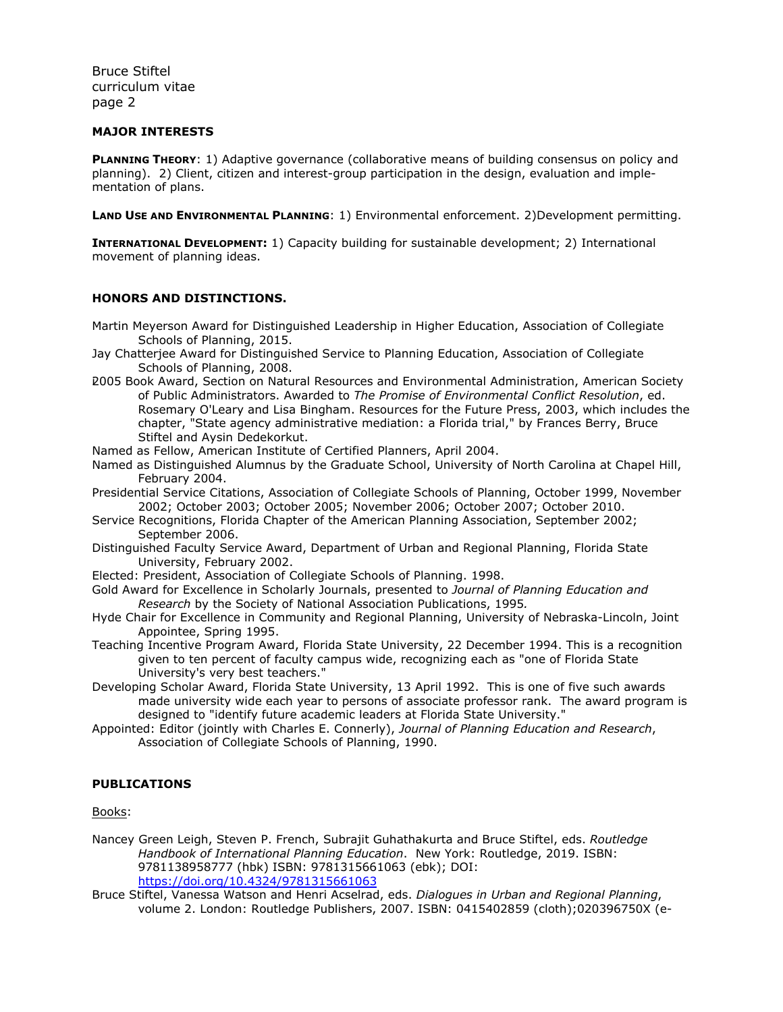### **MAJOR INTERESTS**

**PLANNING THEORY:** 1) Adaptive governance (collaborative means of building consensus on policy and planning). 2) Client, citizen and interest-group participation in the design, evaluation and implementation of plans.

**LAND USE AND ENVIRONMENTAL PLANNING: 1)** Environmental enforcement. 2)Development permitting.

**INTERNATIONAL DEVELOPMENT:** 1) Capacity building for sustainable development; 2) International movement of planning ideas.

## **HONORS AND DISTINCTIONS.**

Martin Meyerson Award for Distinguished Leadership in Higher Education, Association of Collegiate Schools of Planning, 2015.

- Jay Chatterjee Award for Distinguished Service to Planning Education, Association of Collegiate Schools of Planning, 2008.
- i2005 Book Award, Section on Natural Resources and Environmental Administration, American Society of Public Administrators. Awarded to *The Promise of Environmental Conflict Resolution*, ed. Rosemary O'Leary and Lisa Bingham. Resources for the Future Press, 2003, which includes the chapter, "State agency administrative mediation: a Florida trial," by Frances Berry, Bruce Stiftel and Aysin Dedekorkut.
- Named as Fellow, American Institute of Certified Planners, April 2004.
- Named as Distinguished Alumnus by the Graduate School, University of North Carolina at Chapel Hill, February 2004.
- Presidential Service Citations, Association of Collegiate Schools of Planning, October 1999, November 2002; October 2003; October 2005; November 2006; October 2007; October 2010.
- Service Recognitions, Florida Chapter of the American Planning Association, September 2002; September 2006.
- Distinguished Faculty Service Award, Department of Urban and Regional Planning, Florida State University, February 2002.
- Elected: President, Association of Collegiate Schools of Planning. 1998.
- Gold Award for Excellence in Scholarly Journals, presented to *Journal of Planning Education and Research* by the Society of National Association Publications, 1995*.*
- Hyde Chair for Excellence in Community and Regional Planning, University of Nebraska-Lincoln, Joint Appointee, Spring 1995.
- Teaching Incentive Program Award, Florida State University, 22 December 1994. This is a recognition given to ten percent of faculty campus wide, recognizing each as "one of Florida State University's very best teachers."
- Developing Scholar Award, Florida State University, 13 April 1992. This is one of five such awards made university wide each year to persons of associate professor rank. The award program is designed to "identify future academic leaders at Florida State University."
- Appointed: Editor (jointly with Charles E. Connerly), *Journal of Planning Education and Research*, Association of Collegiate Schools of Planning, 1990.

## **PUBLICATIONS**

Books:

Nancey Green Leigh, Steven P. French, Subrajit Guhathakurta and Bruce Stiftel, eds. *Routledge Handbook of International Planning Education*. New York: Routledge, 2019. ISBN: 9781138958777 (hbk) ISBN: 9781315661063 (ebk); DOI: https://doi.org/10.4324/9781315661063

Bruce Stiftel, Vanessa Watson and Henri Acselrad, eds. *Dialogues in Urban and Regional Planning*, volume 2. London: Routledge Publishers, 2007. ISBN: 0415402859 (cloth);020396750X (e-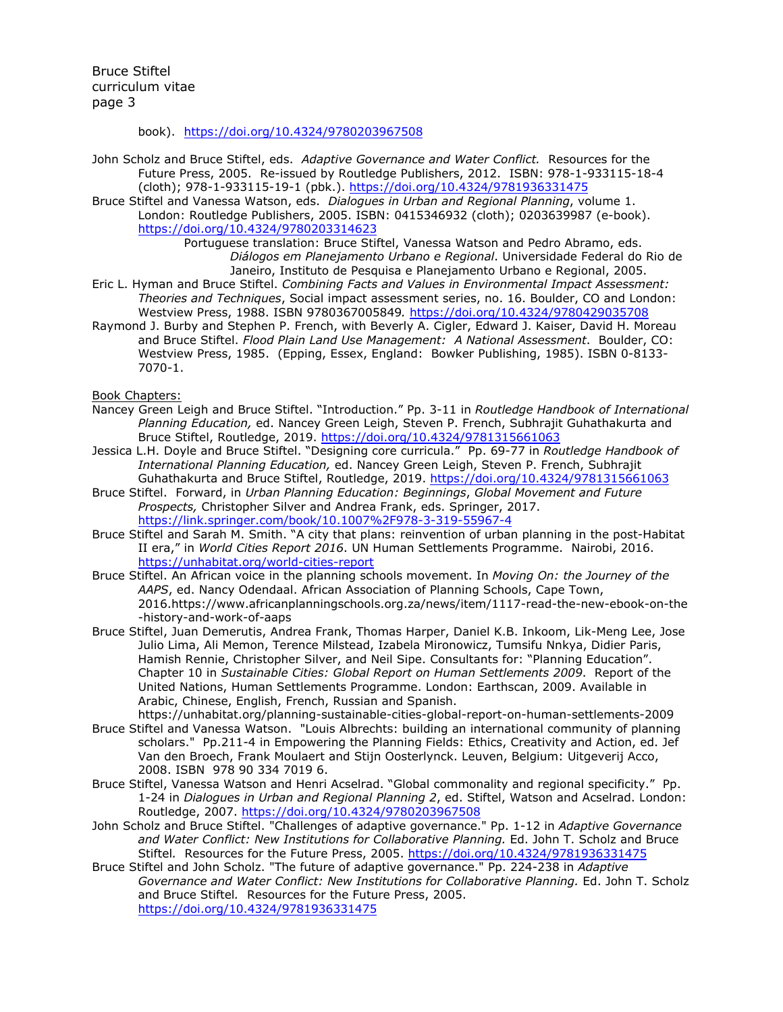book). https://doi.org/10.4324/9780203967508

- John Scholz and Bruce Stiftel, eds. *Adaptive Governance and Water Conflict.* Resources for the Future Press, 2005. Re-issued by Routledge Publishers, 2012. ISBN: 978-1-933115-18-4 (cloth); 978-1-933115-19-1 (pbk.). https://doi.org/10.4324/9781936331475
- Bruce Stiftel and Vanessa Watson, eds. *Dialogues in Urban and Regional Planning*, volume 1. London: Routledge Publishers, 2005. ISBN: 0415346932 (cloth); 0203639987 (e-book). https://doi.org/10.4324/9780203314623

Portuguese translation: Bruce Stiftel, Vanessa Watson and Pedro Abramo, eds. *Diálogos em Planejamento Urbano e Regional*. Universidade Federal do Rio de Janeiro, Instituto de Pesquisa e Planejamento Urbano e Regional, 2005.

- Eric L. Hyman and Bruce Stiftel. *Combining Facts and Values in Environmental Impact Assessment: Theories and Techniques*, Social impact assessment series, no. 16. Boulder, CO and London: Westview Press, 1988. ISBN 9780367005849*.* https://doi.org/10.4324/9780429035708
- Raymond J. Burby and Stephen P. French, with Beverly A. Cigler, Edward J. Kaiser, David H. Moreau and Bruce Stiftel. *Flood Plain Land Use Management: A National Assessment*. Boulder, CO: Westview Press, 1985. (Epping, Essex, England: Bowker Publishing, 1985). ISBN 0-8133- 7070-1.

Book Chapters:

- Nancey Green Leigh and Bruce Stiftel. "Introduction." Pp. 3-11 in *Routledge Handbook of International Planning Education,* ed. Nancey Green Leigh, Steven P. French, Subhrajit Guhathakurta and Bruce Stiftel, Routledge, 2019. https://doi.org/10.4324/9781315661063
- Jessica L.H. Doyle and Bruce Stiftel. "Designing core curricula." Pp. 69-77 in *Routledge Handbook of International Planning Education,* ed. Nancey Green Leigh, Steven P. French, Subhrajit Guhathakurta and Bruce Stiftel, Routledge, 2019. https://doi.org/10.4324/9781315661063
- Bruce Stiftel. Forward, in *Urban Planning Education: Beginnings*, *Global Movement and Future Prospects,* Christopher Silver and Andrea Frank, eds. Springer, 2017. https://link.springer.com/book/10.1007%2F978-3-319-55967-4
- Bruce Stiftel and Sarah M. Smith. "A city that plans: reinvention of urban planning in the post-Habitat II era," in *World Cities Report 2016*. UN Human Settlements Programme. Nairobi, 2016. https://unhabitat.org/world-cities-report
- Bruce Stiftel. An African voice in the planning schools movement. In *Moving On: the Journey of the AAPS*, ed. Nancy Odendaal. African Association of Planning Schools, Cape Town, 2016.https://www.africanplanningschools.org.za/news/item/1117-read-the-new-ebook-on-the -history-and-work-of-aaps
- Bruce Stiftel, Juan Demerutis, Andrea Frank, Thomas Harper, Daniel K.B. Inkoom, Lik-Meng Lee, Jose Julio Lima, Ali Memon, Terence Milstead, Izabela Mironowicz, Tumsifu Nnkya, Didier Paris, Hamish Rennie, Christopher Silver, and Neil Sipe. Consultants for: "Planning Education". Chapter 10 in *Sustainable Cities: Global Report on Human Settlements 2009*. Report of the United Nations, Human Settlements Programme. London: Earthscan, 2009. Available in Arabic, Chinese, English, French, Russian and Spanish.
- https://unhabitat.org/planning-sustainable-cities-global-report-on-human-settlements-2009 Bruce Stiftel and Vanessa Watson. "Louis Albrechts: building an international community of planning scholars." Pp.211-4 in Empowering the Planning Fields: Ethics, Creativity and Action, ed. Jef Van den Broech, Frank Moulaert and Stijn Oosterlynck. Leuven, Belgium: Uitgeverij Acco, 2008. ISBN 978 90 334 7019 6.
- Bruce Stiftel, Vanessa Watson and Henri Acselrad. "Global commonality and regional specificity." Pp. 1-24 in *Dialogues in Urban and Regional Planning 2*, ed. Stiftel, Watson and Acselrad. London: Routledge, 2007. https://doi.org/10.4324/9780203967508
- John Scholz and Bruce Stiftel. "Challenges of adaptive governance." Pp. 1-12 in *Adaptive Governance and Water Conflict: New Institutions for Collaborative Planning.* Ed. John T. Scholz and Bruce Stiftel*.* Resources for the Future Press, 2005. https://doi.org/10.4324/9781936331475
- Bruce Stiftel and John Scholz. "The future of adaptive governance." Pp. 224-238 in *Adaptive Governance and Water Conflict: New Institutions for Collaborative Planning.* Ed. John T. Scholz and Bruce Stiftel*.* Resources for the Future Press, 2005. https://doi.org/10.4324/9781936331475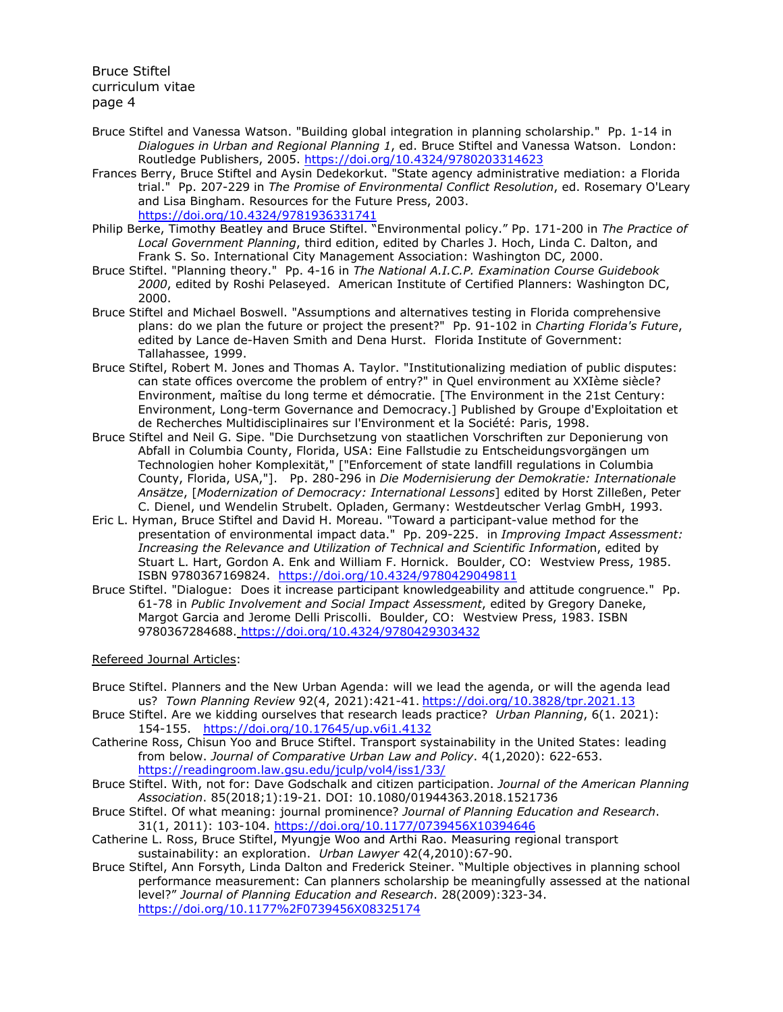- Bruce Stiftel and Vanessa Watson. "Building global integration in planning scholarship." Pp. 1-14 in *Dialogues in Urban and Regional Planning 1*, ed. Bruce Stiftel and Vanessa Watson. London: Routledge Publishers, 2005. https://doi.org/10.4324/9780203314623
- Frances Berry, Bruce Stiftel and Aysin Dedekorkut. "State agency administrative mediation: a Florida trial." Pp. 207-229 in *The Promise of Environmental Conflict Resolution*, ed. Rosemary O'Leary and Lisa Bingham. Resources for the Future Press, 2003. https://doi.org/10.4324/9781936331741
- Philip Berke, Timothy Beatley and Bruce Stiftel. "Environmental policy." Pp. 171-200 in *The Practice of Local Government Planning*, third edition, edited by Charles J. Hoch, Linda C. Dalton, and Frank S. So. International City Management Association: Washington DC, 2000.
- Bruce Stiftel. "Planning theory." Pp. 4-16 in *The National A.I.C.P. Examination Course Guidebook 2000*, edited by Roshi Pelaseyed. American Institute of Certified Planners: Washington DC, 2000.
- Bruce Stiftel and Michael Boswell. "Assumptions and alternatives testing in Florida comprehensive plans: do we plan the future or project the present?" Pp. 91-102 in *Charting Florida's Future*, edited by Lance de-Haven Smith and Dena Hurst. Florida Institute of Government: Tallahassee, 1999.
- Bruce Stiftel, Robert M. Jones and Thomas A. Taylor. "Institutionalizing mediation of public disputes: can state offices overcome the problem of entry?" in Quel environment au XXIème siècle? Environment, maîtise du long terme et démocratie. [The Environment in the 21st Century: Environment, Long-term Governance and Democracy.] Published by Groupe d'Exploitation et de Recherches Multidisciplinaires sur l'Environment et la Société: Paris, 1998.
- Bruce Stiftel and Neil G. Sipe. "Die Durchsetzung von staatlichen Vorschriften zur Deponierung von Abfall in Columbia County, Florida, USA: Eine Fallstudie zu Entscheidungsvorgängen um Technologien hoher Komplexität," ["Enforcement of state landfill regulations in Columbia County, Florida, USA,"]. Pp. 280-296 in *Die Modernisierung der Demokratie: Internationale Ansätze*, [*Modernization of Democracy: International Lessons*] edited by Horst Zilleßen, Peter C. Dienel, und Wendelin Strubelt. Opladen, Germany: Westdeutscher Verlag GmbH, 1993.
- Eric L. Hyman, Bruce Stiftel and David H. Moreau. "Toward a participant-value method for the presentation of environmental impact data." Pp. 209-225. in *Improving Impact Assessment: Increasing the Relevance and Utilization of Technical and Scientific Informatio*n, edited by Stuart L. Hart, Gordon A. Enk and William F. Hornick. Boulder, CO: Westview Press, 1985. ISBN 9780367169824. https://doi.org/10.4324/9780429049811
- Bruce Stiftel. "Dialogue: Does it increase participant knowledgeability and attitude congruence." Pp. 61-78 in *Public Involvement and Social Impact Assessment*, edited by Gregory Daneke, Margot Garcia and Jerome Delli Priscolli. Boulder, CO: Westview Press, 1983. ISBN 9780367284688. https://doi.org/10.4324/9780429303432

## Refereed Journal Articles:

- Bruce Stiftel. Planners and the New Urban Agenda: will we lead the agenda, or will the agenda lead us? *Town Planning Review* 92(4, 2021):421-41. https://doi.org/10.3828/tpr.2021.13
- Bruce Stiftel. Are we kidding ourselves that research leads practice? *Urban Planning*, 6(1. 2021): 154-155. https://doi.org/10.17645/up.v6i1.4132
- Catherine Ross, Chisun Yoo and Bruce Stiftel. Transport systainability in the United States: leading from below. *Journal of Comparative Urban Law and Policy*. 4(1,2020): 622-653. https://readingroom.law.gsu.edu/jculp/vol4/iss1/33/
- Bruce Stiftel. With, not for: Dave Godschalk and citizen participation. *Journal of the American Planning Association*. 85(2018;1):19-21. DOI: 10.1080/01944363.2018.1521736
- Bruce Stiftel. Of what meaning: journal prominence? *Journal of Planning Education and Research*. 31(1, 2011): 103-104. https://doi.org/10.1177/0739456X10394646
- Catherine L. Ross, Bruce Stiftel, Myungje Woo and Arthi Rao. Measuring regional transport sustainability: an exploration. *Urban Lawyer* 42(4,2010):67-90.
- Bruce Stiftel, Ann Forsyth, Linda Dalton and Frederick Steiner. "Multiple objectives in planning school performance measurement: Can planners scholarship be meaningfully assessed at the national level?" *Journal of Planning Education and Research*. 28(2009):323-34. https://doi.org/10.1177%2F0739456X08325174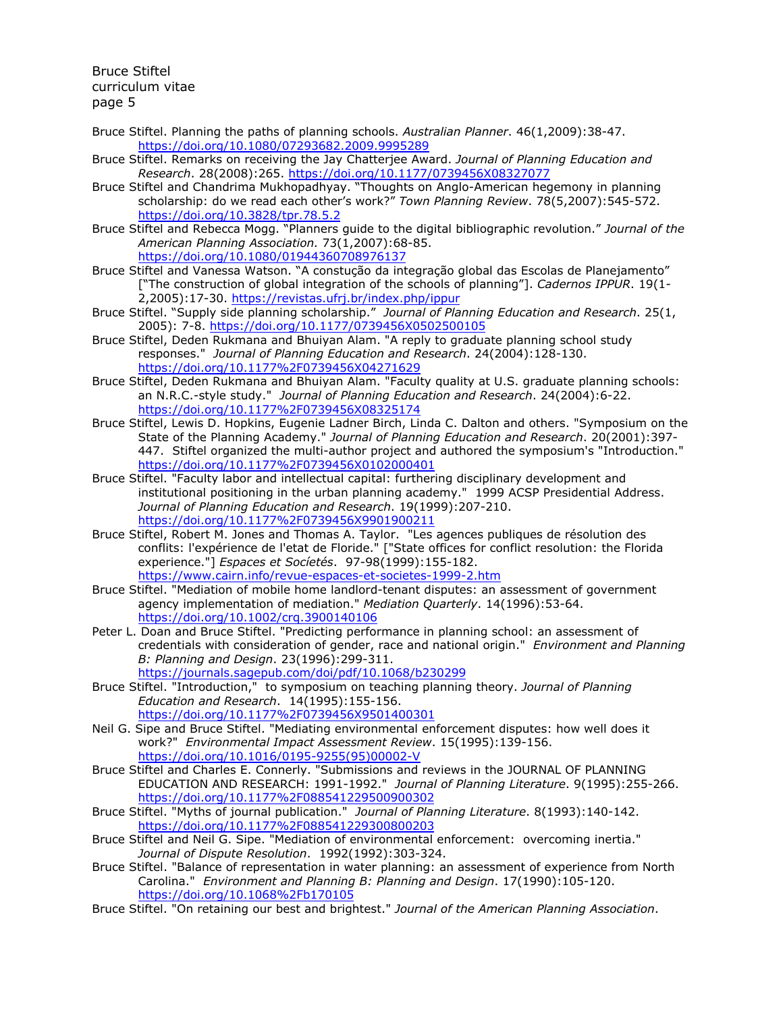- Bruce Stiftel. Planning the paths of planning schools. *Australian Planner*. 46(1,2009):38-47. https://doi.org/10.1080/07293682.2009.9995289
- Bruce Stiftel. Remarks on receiving the Jay Chatterjee Award. *Journal of Planning Education and Research*. 28(2008):265. https://doi.org/10.1177/0739456X08327077
- Bruce Stiftel and Chandrima Mukhopadhyay. "Thoughts on Anglo-American hegemony in planning scholarship: do we read each other's work?" *Town Planning Review*. 78(5,2007):545-572. https://doi.org/10.3828/tpr.78.5.2
- Bruce Stiftel and Rebecca Mogg. "Planners guide to the digital bibliographic revolution." *Journal of the American Planning Association.* 73(1,2007):68-85. https://doi.org/10.1080/01944360708976137
- Bruce Stiftel and Vanessa Watson. "A constução da integração global das Escolas de Planejamento" ["The construction of global integration of the schools of planning"]. *Cadernos IPPUR*. 19(1- 2,2005):17-30. https://revistas.ufrj.br/index.php/ippur
- Bruce Stiftel. "Supply side planning scholarship." *Journal of Planning Education and Research*. 25(1, 2005): 7-8. https://doi.org/10.1177/0739456X0502500105
- Bruce Stiftel, Deden Rukmana and Bhuiyan Alam. "A reply to graduate planning school study responses." *Journal of Planning Education and Research*. 24(2004):128-130. https://doi.org/10.1177%2F0739456X04271629
- Bruce Stiftel, Deden Rukmana and Bhuiyan Alam. "Faculty quality at U.S. graduate planning schools: an N.R.C.-style study." *Journal of Planning Education and Research*. 24(2004):6-22. https://doi.org/10.1177%2F0739456X08325174
- Bruce Stiftel, Lewis D. Hopkins, Eugenie Ladner Birch, Linda C. Dalton and others. "Symposium on the State of the Planning Academy." *Journal of Planning Education and Research*. 20(2001):397- 447. Stiftel organized the multi-author project and authored the symposium's "Introduction." https://doi.org/10.1177%2F0739456X0102000401
- Bruce Stiftel. "Faculty labor and intellectual capital: furthering disciplinary development and institutional positioning in the urban planning academy." 1999 ACSP Presidential Address. *Journal of Planning Education and Research*. 19(1999):207-210. https://doi.org/10.1177%2F0739456X9901900211
- Bruce Stiftel, Robert M. Jones and Thomas A. Taylor. "Les agences publiques de résolution des conflits: l'expérience de l'etat de Floride." ["State offices for conflict resolution: the Florida experience."] *Espaces et Socíetés*. 97-98(1999):155-182. https://www.cairn.info/revue-espaces-et-societes-1999-2.htm
- Bruce Stiftel. "Mediation of mobile home landlord-tenant disputes: an assessment of government agency implementation of mediation." *Mediation Quarterly*. 14(1996):53-64. https://doi.org/10.1002/crq.3900140106
- Peter L. Doan and Bruce Stiftel. "Predicting performance in planning school: an assessment of credentials with consideration of gender, race and national origin." *Environment and Planning B: Planning and Design*. 23(1996):299-311. https://journals.sagepub.com/doi/pdf/10.1068/b230299
- Bruce Stiftel. "Introduction," to symposium on teaching planning theory. *Journal of Planning Education and Research*. 14(1995):155-156. https://doi.org/10.1177%2F0739456X9501400301
- Neil G. Sipe and Bruce Stiftel. "Mediating environmental enforcement disputes: how well does it work?" *Environmental Impact Assessment Review*. 15(1995):139-156. https://doi.org/10.1016/0195-9255(95)00002-V
- Bruce Stiftel and Charles E. Connerly. "Submissions and reviews in the JOURNAL OF PLANNING EDUCATION AND RESEARCH: 1991-1992." *Journal of Planning Literature*. 9(1995):255-266. https://doi.org/10.1177%2F088541229500900302
- Bruce Stiftel. "Myths of journal publication." *Journal of Planning Literature*. 8(1993):140-142. https://doi.org/10.1177%2F088541229300800203
- Bruce Stiftel and Neil G. Sipe. "Mediation of environmental enforcement: overcoming inertia." *Journal of Dispute Resolution*. 1992(1992):303-324.
- Bruce Stiftel. "Balance of representation in water planning: an assessment of experience from North Carolina." *Environment and Planning B: Planning and Design*. 17(1990):105-120. https://doi.org/10.1068%2Fb170105
- Bruce Stiftel. "On retaining our best and brightest." *Journal of the American Planning Association*.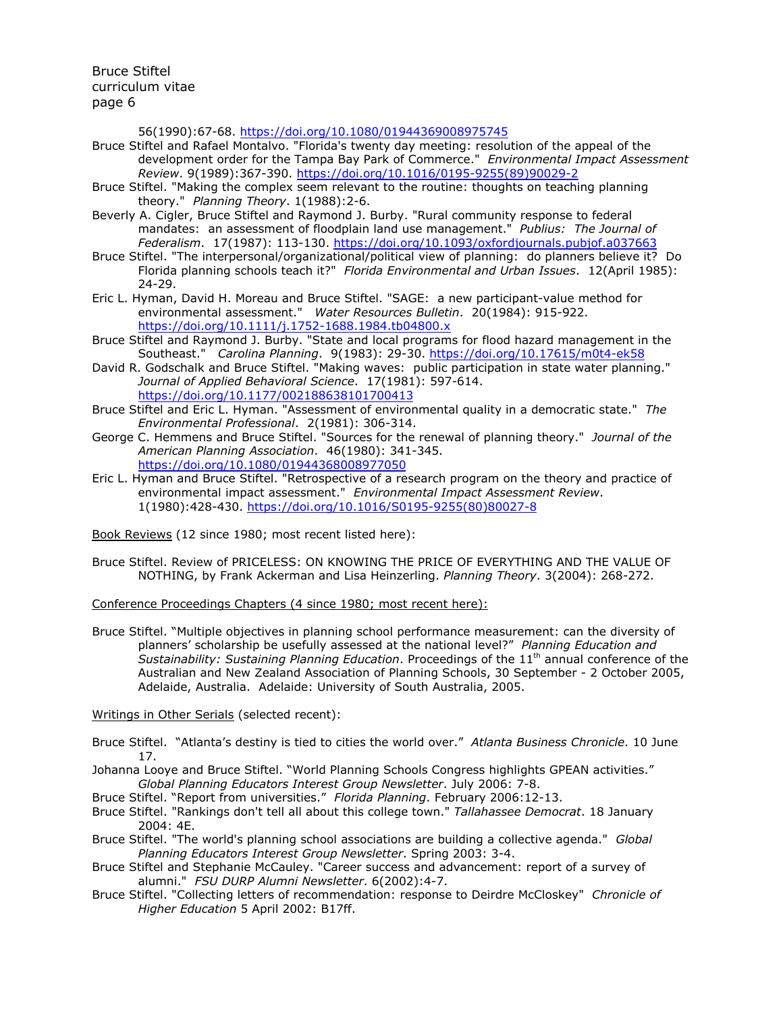56(1990):67-68. https://doi.org/10.1080/01944369008975745

- Bruce Stiftel and Rafael Montalvo. "Florida's twenty day meeting: resolution of the appeal of the development order for the Tampa Bay Park of Commerce." *Environmental Impact Assessment Review*. 9(1989):367-390. https://doi.org/10.1016/0195-9255(89)90029-2
- Bruce Stiftel. "Making the complex seem relevant to the routine: thoughts on teaching planning theory." *Planning Theory*. 1(1988):2-6.
- Beverly A. Cigler, Bruce Stiftel and Raymond J. Burby. "Rural community response to federal mandates: an assessment of floodplain land use management." *Publius: The Journal of Federalism*. 17(1987): 113-130. https://doi.org/10.1093/oxfordjournals.pubjof.a037663
- Bruce Stiftel. "The interpersonal/organizational/political view of planning: do planners believe it? Do Florida planning schools teach it?" *Florida Environmental and Urban Issues*. 12(April 1985): 24-29.
- Eric L. Hyman, David H. Moreau and Bruce Stiftel. "SAGE: a new participant-value method for environmental assessment." *Water Resources Bulletin*. 20(1984): 915-922. https://doi.org/10.1111/j.1752-1688.1984.tb04800.x
- Bruce Stiftel and Raymond J. Burby. "State and local programs for flood hazard management in the Southeast." *Carolina Planning*. 9(1983): 29-30. https://doi.org/10.17615/m0t4-ek58
- David R. Godschalk and Bruce Stiftel. "Making waves: public participation in state water planning." *Journal of Applied Behavioral Science*. 17(1981): 597-614. https://doi.org/10.1177/002188638101700413
- Bruce Stiftel and Eric L. Hyman. "Assessment of environmental quality in a democratic state." *The Environmental Professional*. 2(1981): 306-314.
- George C. Hemmens and Bruce Stiftel. "Sources for the renewal of planning theory." *Journal of the American Planning Association*. 46(1980): 341-345. https://doi.org/10.1080/01944368008977050
- Eric L. Hyman and Bruce Stiftel. "Retrospective of a research program on the theory and practice of environmental impact assessment." *Environmental Impact Assessment Review*. 1(1980):428-430. https://doi.org/10.1016/S0195-9255(80)80027-8

Book Reviews (12 since 1980; most recent listed here):

Bruce Stiftel. Review of PRICELESS: ON KNOWING THE PRICE OF EVERYTHING AND THE VALUE OF NOTHING, by Frank Ackerman and Lisa Heinzerling. *Planning Theory*. 3(2004): 268-272.

Conference Proceedings Chapters (4 since 1980; most recent here):

Bruce Stiftel. "Multiple objectives in planning school performance measurement: can the diversity of planners' scholarship be usefully assessed at the national level?" *Planning Education and Sustainability: Sustaining Planning Education*. Proceedings of the 11th annual conference of the Australian and New Zealand Association of Planning Schools, 30 September - 2 October 2005, Adelaide, Australia. Adelaide: University of South Australia, 2005.

Writings in Other Serials (selected recent):

- Bruce Stiftel. "Atlanta's destiny is tied to cities the world over." *Atlanta Business Chronicle*. 10 June 17.
- Johanna Looye and Bruce Stiftel. "World Planning Schools Congress highlights GPEAN activities." *Global Planning Educators Interest Group Newsletter*. July 2006: 7-8.
- Bruce Stiftel. "Report from universities." *Florida Planning*. February 2006:12-13.
- Bruce Stiftel. "Rankings don't tell all about this college town." *Tallahassee Democrat*. 18 January 2004: 4E.
- Bruce Stiftel. "The world's planning school associations are building a collective agenda." *Global Planning Educators Interest Group Newsletter*. Spring 2003: 3-4.
- Bruce Stiftel and Stephanie McCauley. "Career success and advancement: report of a survey of alumni." *FSU DURP Alumni Newsletter*. 6(2002):4-7.
- Bruce Stiftel. "Collecting letters of recommendation: response to Deirdre McCloskey" *Chronicle of Higher Education* 5 April 2002: B17ff.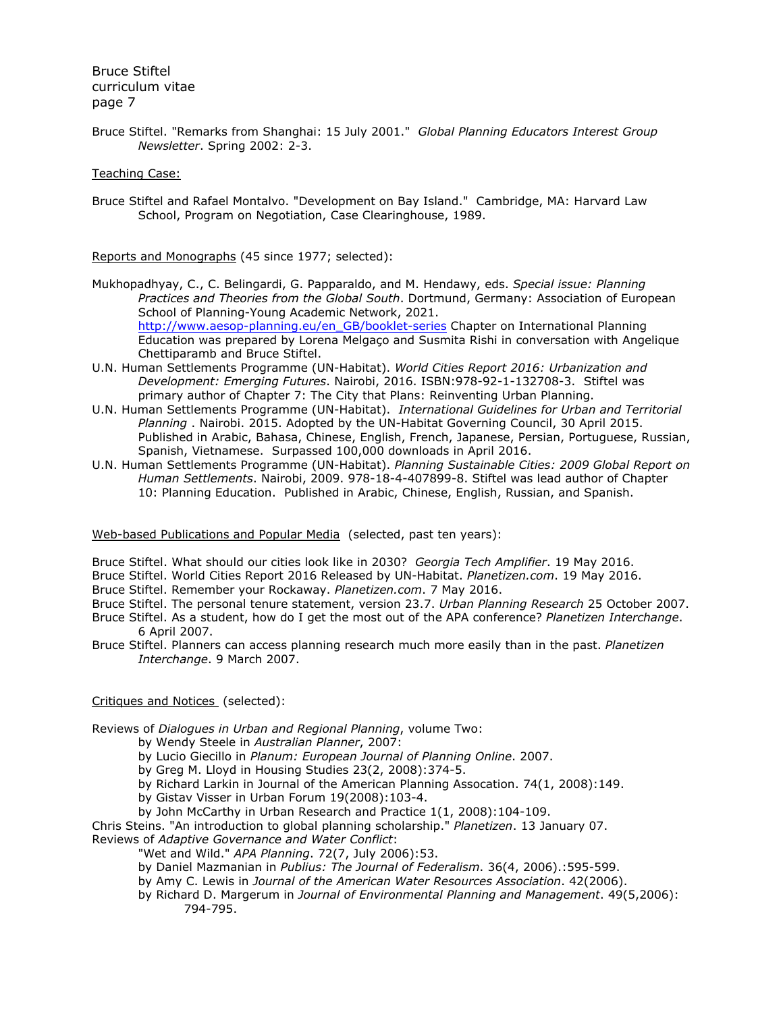Bruce Stiftel. "Remarks from Shanghai: 15 July 2001." *Global Planning Educators Interest Group Newsletter*. Spring 2002: 2-3.

### Teaching Case:

Bruce Stiftel and Rafael Montalvo. "Development on Bay Island." Cambridge, MA: Harvard Law School, Program on Negotiation, Case Clearinghouse, 1989.

Reports and Monographs (45 since 1977; selected):

- Mukhopadhyay, C., C. Belingardi, G. Papparaldo, and M. Hendawy, eds. *Special issue: Planning Practices and Theories from the Global South*. Dortmund, Germany: Association of European School of Planning-Young Academic Network, 2021. http://www.aesop-planning.eu/en\_GB/booklet-series Chapter on International Planning Education was prepared by Lorena Melgaço and Susmita Rishi in conversation with Angelique Chettiparamb and Bruce Stiftel.
- U.N. Human Settlements Programme (UN-Habitat). *World Cities Report 2016: Urbanization and Development: Emerging Futures*. Nairobi, 2016. ISBN:978-92-1-132708-3. Stiftel was primary author of Chapter 7: The City that Plans: Reinventing Urban Planning.
- U.N. Human Settlements Programme (UN-Habitat). *International Guidelines for Urban and Territorial Planning* . Nairobi. 2015. Adopted by the UN-Habitat Governing Council, 30 April 2015. Published in Arabic, Bahasa, Chinese, English, French, Japanese, Persian, Portuguese, Russian, Spanish, Vietnamese. Surpassed 100,000 downloads in April 2016.
- U.N. Human Settlements Programme (UN-Habitat). *Planning Sustainable Cities: 2009 Global Report on Human Settlements*. Nairobi, 2009. 978-18-4-407899-8. Stiftel was lead author of Chapter 10: Planning Education. Published in Arabic, Chinese, English, Russian, and Spanish.

### Web-based Publications and Popular Media (selected, past ten years):

- Bruce Stiftel. What should our cities look like in 2030? *Georgia Tech Amplifier*. 19 May 2016.
- Bruce Stiftel. World Cities Report 2016 Released by UN-Habitat. *Planetizen.com*. 19 May 2016.
- Bruce Stiftel. Remember your Rockaway. *Planetizen.com*. 7 May 2016.
- Bruce Stiftel. The personal tenure statement, version 23.7. *Urban Planning Research* 25 October 2007.
- Bruce Stiftel. As a student, how do I get the most out of the APA conference? *Planetizen Interchange*. 6 April 2007.
- Bruce Stiftel. Planners can access planning research much more easily than in the past. *Planetizen Interchange*. 9 March 2007.

## Critiques and Notices (selected):

Reviews of *Dialogues in Urban and Regional Planning*, volume Two:

- by Wendy Steele in *Australian Planner*, 2007:
- by Lucio Giecillo in *Planum: European Journal of Planning Online*. 2007.
- by Greg M. Lloyd in Housing Studies 23(2, 2008):374-5.
- by Richard Larkin in Journal of the American Planning Assocation. 74(1, 2008):149.
- by Gistav Visser in Urban Forum 19(2008):103-4.
- by John McCarthy in Urban Research and Practice 1(1, 2008):104-109.

Chris Steins. "An introduction to global planning scholarship." *Planetizen*. 13 January 07. Reviews of *Adaptive Governance and Water Conflict*:

- "Wet and Wild." *APA Planning*. 72(7, July 2006):53.
- by Daniel Mazmanian in *Publius: The Journal of Federalism*. 36(4, 2006).:595-599.
- by Amy C. Lewis in *Journal of the American Water Resources Association*. 42(2006).
- by Richard D. Margerum in *Journal of Environmental Planning and Management*. 49(5,2006): 794-795.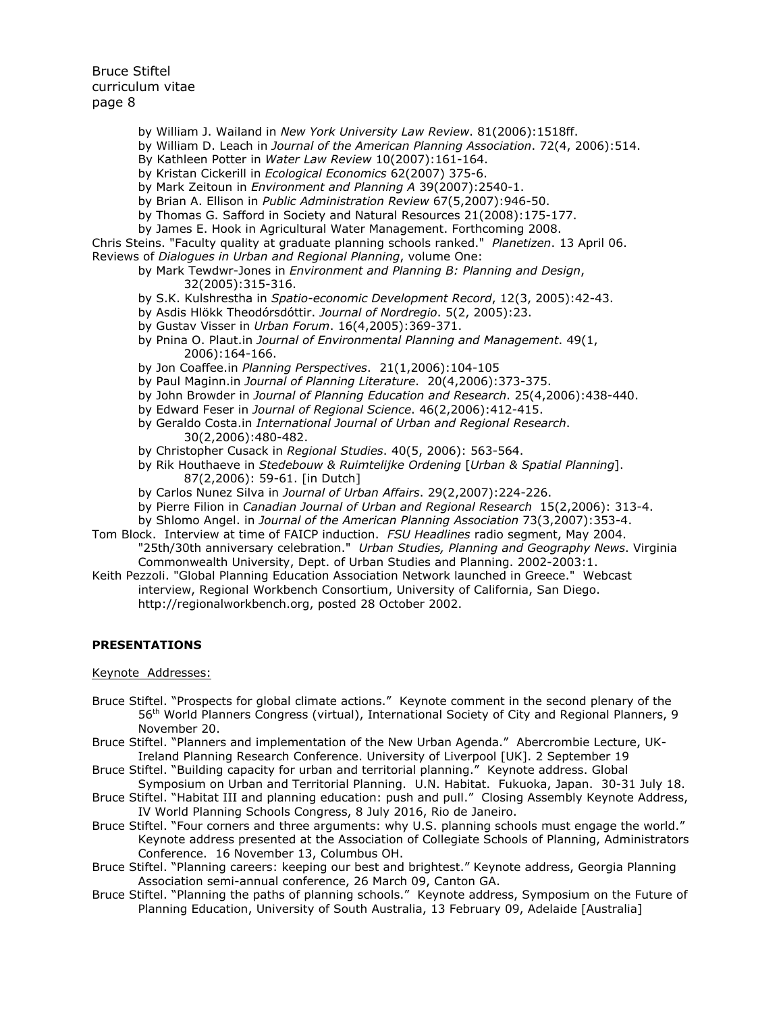- by William J. Wailand in *New York University Law Review*. 81(2006):1518ff.
- by William D. Leach in *Journal of the American Planning Association*. 72(4, 2006):514.
- By Kathleen Potter in *Water Law Review* 10(2007):161-164.
- by Kristan Cickerill in *Ecological Economics* 62(2007) 375-6.
- by Mark Zeitoun in *Environment and Planning A* 39(2007):2540-1.
- by Brian A. Ellison in *Public Administration Review* 67(5,2007):946-50.
- by Thomas G. Safford in Society and Natural Resources 21(2008):175-177.
- by James E. Hook in Agricultural Water Management. Forthcoming 2008.

Chris Steins. "Faculty quality at graduate planning schools ranked." *Planetizen*. 13 April 06. Reviews of *Dialogues in Urban and Regional Planning*, volume One:

- by Mark Tewdwr-Jones in *Environment and Planning B: Planning and Design*,
	- 32(2005):315-316.
- by S.K. Kulshrestha in *Spatio-economic Development Record*, 12(3, 2005):42-43.
- by Asdis Hlökk Theodórsdóttir. *Journal of Nordregio*. 5(2, 2005):23.
- by Gustav Visser in *Urban Forum*. 16(4,2005):369-371.
- by Pnina O. Plaut.in *Journal of Environmental Planning and Management*. 49(1, 2006):164-166.
- by Jon Coaffee.in *Planning Perspectives*. 21(1,2006):104-105
- by Paul Maginn.in *Journal of Planning Literature*. 20(4,2006):373-375.
- by John Browder in *Journal of Planning Education and Research*. 25(4,2006):438-440.
- by Edward Feser in *Journal of Regional Science*. 46(2,2006):412-415.
- by Geraldo Costa.in *International Journal of Urban and Regional Research*. 30(2,2006):480-482.
- by Christopher Cusack in *Regional Studies*. 40(5, 2006): 563-564.
- by Rik Houthaeve in *Stedebouw & Ruimtelijke Ordening* [*Urban & Spatial Planning*]. 87(2,2006): 59-61. [in Dutch]
- by Carlos Nunez Silva in *Journal of Urban Affairs*. 29(2,2007):224-226.
- by Pierre Filion in *Canadian Journal of Urban and Regional Research* 15(2,2006): 313-4.
- by Shlomo Angel. in *Journal of the American Planning Association* 73(3,2007):353-4.
- Tom Block. Interview at time of FAICP induction. *FSU Headlines* radio segment, May 2004. "25th/30th anniversary celebration." *Urban Studies, Planning and Geography News*. Virginia Commonwealth University, Dept. of Urban Studies and Planning. 2002-2003:1.
- Keith Pezzoli. "Global Planning Education Association Network launched in Greece." Webcast interview, Regional Workbench Consortium, University of California, San Diego. http://regionalworkbench.org, posted 28 October 2002.

#### **PRESENTATIONS**

#### Keynote Addresses:

- Bruce Stiftel. "Prospects for global climate actions." Keynote comment in the second plenary of the 56th World Planners Congress (virtual), International Society of City and Regional Planners, 9 November 20.
- Bruce Stiftel. "Planners and implementation of the New Urban Agenda." Abercrombie Lecture, UK-Ireland Planning Research Conference. University of Liverpool [UK]. 2 September 19
- Bruce Stiftel. "Building capacity for urban and territorial planning." Keynote address. Global Symposium on Urban and Territorial Planning. U.N. Habitat. Fukuoka, Japan. 30-31 July 18.
- Bruce Stiftel. "Habitat III and planning education: push and pull." Closing Assembly Keynote Address, IV World Planning Schools Congress, 8 July 2016, Rio de Janeiro.
- Bruce Stiftel. "Four corners and three arguments: why U.S. planning schools must engage the world." Keynote address presented at the Association of Collegiate Schools of Planning, Administrators Conference. 16 November 13, Columbus OH.
- Bruce Stiftel. "Planning careers: keeping our best and brightest." Keynote address, Georgia Planning Association semi-annual conference, 26 March 09, Canton GA.
- Bruce Stiftel. "Planning the paths of planning schools." Keynote address, Symposium on the Future of Planning Education, University of South Australia, 13 February 09, Adelaide [Australia]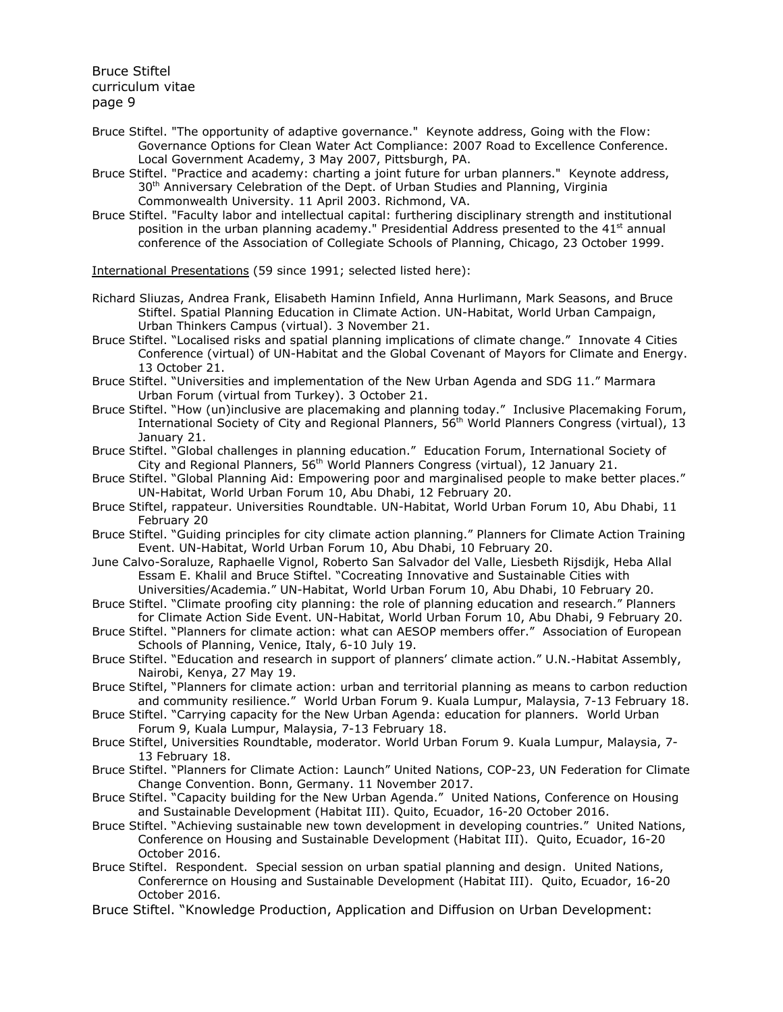- Bruce Stiftel. "The opportunity of adaptive governance." Keynote address, Going with the Flow: Governance Options for Clean Water Act Compliance: 2007 Road to Excellence Conference. Local Government Academy, 3 May 2007, Pittsburgh, PA.
- Bruce Stiftel. "Practice and academy: charting a joint future for urban planners." Keynote address, 30<sup>th</sup> Anniversary Celebration of the Dept. of Urban Studies and Planning, Virginia Commonwealth University. 11 April 2003. Richmond, VA.
- Bruce Stiftel. "Faculty labor and intellectual capital: furthering disciplinary strength and institutional position in the urban planning academy." Presidential Address presented to the 41<sup>st</sup> annual conference of the Association of Collegiate Schools of Planning, Chicago, 23 October 1999.

International Presentations (59 since 1991; selected listed here):

- Richard Sliuzas, Andrea Frank, Elisabeth Haminn Infield, Anna Hurlimann, Mark Seasons, and Bruce Stiftel. Spatial Planning Education in Climate Action. UN-Habitat, World Urban Campaign, Urban Thinkers Campus (virtual). 3 November 21.
- Bruce Stiftel. "Localised risks and spatial planning implications of climate change." Innovate 4 Cities Conference (virtual) of UN-Habitat and the Global Covenant of Mayors for Climate and Energy. 13 October 21.
- Bruce Stiftel. "Universities and implementation of the New Urban Agenda and SDG 11." Marmara Urban Forum (virtual from Turkey). 3 October 21.
- Bruce Stiftel. "How (un)inclusive are placemaking and planning today." Inclusive Placemaking Forum, International Society of City and Regional Planners, 56<sup>th</sup> World Planners Congress (virtual), 13 January 21.
- Bruce Stiftel. "Global challenges in planning education." Education Forum, International Society of City and Regional Planners, 56<sup>th</sup> World Planners Congress (virtual), 12 January 21.
- Bruce Stiftel. "Global Planning Aid: Empowering poor and marginalised people to make better places." UN-Habitat, World Urban Forum 10, Abu Dhabi, 12 February 20.
- Bruce Stiftel, rappateur. Universities Roundtable. UN-Habitat, World Urban Forum 10, Abu Dhabi, 11 February 20
- Bruce Stiftel. "Guiding principles for city climate action planning." Planners for Climate Action Training Event. UN-Habitat, World Urban Forum 10, Abu Dhabi, 10 February 20.
- June Calvo-Soraluze, Raphaelle Vignol, Roberto San Salvador del Valle, Liesbeth Rijsdijk, Heba Allal Essam E. Khalil and Bruce Stiftel. "Cocreating Innovative and Sustainable Cities with Universities/Academia." UN-Habitat, World Urban Forum 10, Abu Dhabi, 10 February 20.
- Bruce Stiftel. "Climate proofing city planning: the role of planning education and research." Planners for Climate Action Side Event. UN-Habitat, World Urban Forum 10, Abu Dhabi, 9 February 20.
- Bruce Stiftel. "Planners for climate action: what can AESOP members offer." Association of European Schools of Planning, Venice, Italy, 6-10 July 19.
- Bruce Stiftel. "Education and research in support of planners' climate action." U.N.-Habitat Assembly, Nairobi, Kenya, 27 May 19.
- Bruce Stiftel, "Planners for climate action: urban and territorial planning as means to carbon reduction and community resilience." World Urban Forum 9. Kuala Lumpur, Malaysia, 7-13 February 18.
- Bruce Stiftel. "Carrying capacity for the New Urban Agenda: education for planners. World Urban Forum 9, Kuala Lumpur, Malaysia, 7-13 February 18.
- Bruce Stiftel, Universities Roundtable, moderator. World Urban Forum 9. Kuala Lumpur, Malaysia, 7- 13 February 18.
- Bruce Stiftel. "Planners for Climate Action: Launch" United Nations, COP-23, UN Federation for Climate Change Convention. Bonn, Germany. 11 November 2017.
- Bruce Stiftel. "Capacity building for the New Urban Agenda." United Nations, Conference on Housing and Sustainable Development (Habitat III). Quito, Ecuador, 16-20 October 2016.
- Bruce Stiftel. "Achieving sustainable new town development in developing countries." United Nations, Conference on Housing and Sustainable Development (Habitat III). Quito, Ecuador, 16-20 October 2016.
- Bruce Stiftel. Respondent. Special session on urban spatial planning and design. United Nations, Conferernce on Housing and Sustainable Development (Habitat III). Quito, Ecuador, 16-20 October 2016.
- Bruce Stiftel. "Knowledge Production, Application and Diffusion on Urban Development: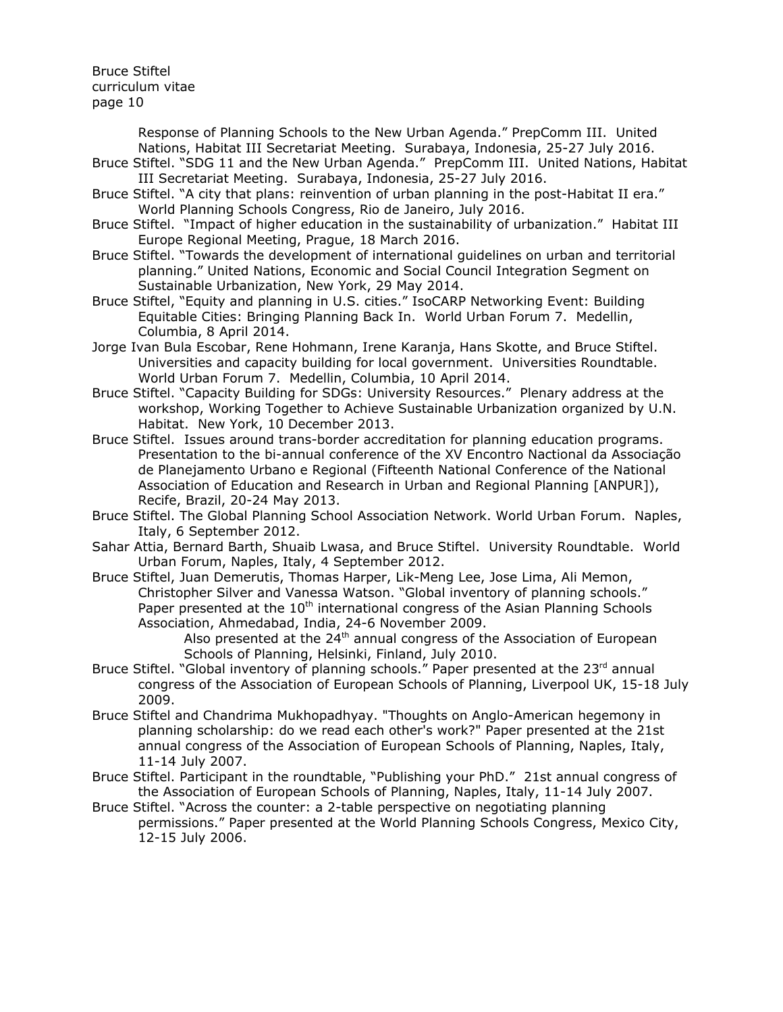> Response of Planning Schools to the New Urban Agenda." PrepComm III. United Nations, Habitat III Secretariat Meeting. Surabaya, Indonesia, 25-27 July 2016.

- Bruce Stiftel. "SDG 11 and the New Urban Agenda." PrepComm III. United Nations, Habitat III Secretariat Meeting. Surabaya, Indonesia, 25-27 July 2016.
- Bruce Stiftel. "A city that plans: reinvention of urban planning in the post-Habitat II era." World Planning Schools Congress, Rio de Janeiro, July 2016.
- Bruce Stiftel. "Impact of higher education in the sustainability of urbanization." Habitat III Europe Regional Meeting, Prague, 18 March 2016.
- Bruce Stiftel. "Towards the development of international guidelines on urban and territorial planning." United Nations, Economic and Social Council Integration Segment on Sustainable Urbanization, New York, 29 May 2014.
- Bruce Stiftel, "Equity and planning in U.S. cities." IsoCARP Networking Event: Building Equitable Cities: Bringing Planning Back In. World Urban Forum 7. Medellin, Columbia, 8 April 2014.
- Jorge Ivan Bula Escobar, Rene Hohmann, Irene Karanja, Hans Skotte, and Bruce Stiftel. Universities and capacity building for local government. Universities Roundtable. World Urban Forum 7. Medellin, Columbia, 10 April 2014.
- Bruce Stiftel. "Capacity Building for SDGs: University Resources." Plenary address at the workshop, Working Together to Achieve Sustainable Urbanization organized by U.N. Habitat. New York, 10 December 2013.
- Bruce Stiftel. Issues around trans-border accreditation for planning education programs. Presentation to the bi-annual conference of the XV Encontro Nactional da Associação de Planejamento Urbano e Regional (Fifteenth National Conference of the National Association of Education and Research in Urban and Regional Planning [ANPUR]), Recife, Brazil, 20-24 May 2013.
- Bruce Stiftel. The Global Planning School Association Network. World Urban Forum. Naples, Italy, 6 September 2012.
- Sahar Attia, Bernard Barth, Shuaib Lwasa, and Bruce Stiftel. University Roundtable. World Urban Forum, Naples, Italy, 4 September 2012.
- Bruce Stiftel, Juan Demerutis, Thomas Harper, Lik-Meng Lee, Jose Lima, Ali Memon, Christopher Silver and Vanessa Watson. "Global inventory of planning schools." Paper presented at the  $10<sup>th</sup>$  international congress of the Asian Planning Schools Association, Ahmedabad, India, 24-6 November 2009.

Also presented at the  $24<sup>th</sup>$  annual congress of the Association of European Schools of Planning, Helsinki, Finland, July 2010.

- Bruce Stiftel. "Global inventory of planning schools." Paper presented at the 23<sup>rd</sup> annual congress of the Association of European Schools of Planning, Liverpool UK, 15-18 July 2009.
- Bruce Stiftel and Chandrima Mukhopadhyay. "Thoughts on Anglo-American hegemony in planning scholarship: do we read each other's work?" Paper presented at the 21st annual congress of the Association of European Schools of Planning, Naples, Italy, 11-14 July 2007.
- Bruce Stiftel. Participant in the roundtable, "Publishing your PhD." 21st annual congress of the Association of European Schools of Planning, Naples, Italy, 11-14 July 2007.
- Bruce Stiftel. "Across the counter: a 2-table perspective on negotiating planning permissions." Paper presented at the World Planning Schools Congress, Mexico City, 12-15 July 2006.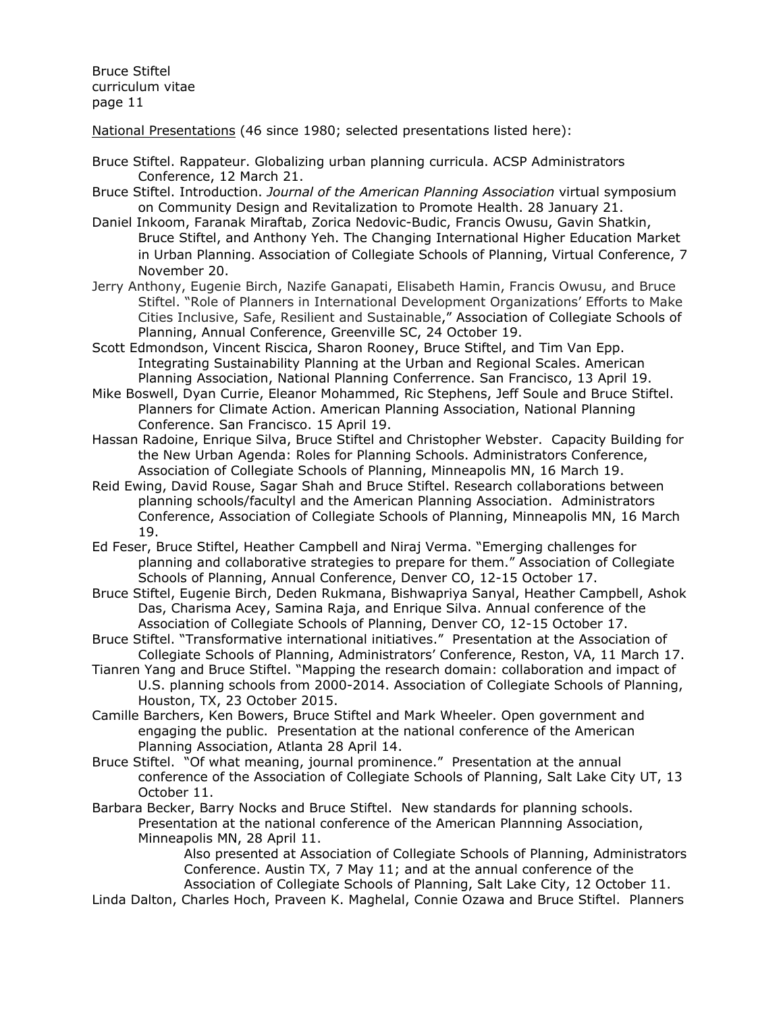National Presentations (46 since 1980; selected presentations listed here):

- Bruce Stiftel. Rappateur. Globalizing urban planning curricula. ACSP Administrators Conference, 12 March 21.
- Bruce Stiftel. Introduction. *Journal of the American Planning Association* virtual symposium on Community Design and Revitalization to Promote Health. 28 January 21.
- Daniel Inkoom, Faranak Miraftab, Zorica Nedovic-Budic, Francis Owusu, Gavin Shatkin, Bruce Stiftel, and Anthony Yeh. The Changing International Higher Education Market in Urban Planning. Association of Collegiate Schools of Planning, Virtual Conference, 7 November 20.
- Jerry Anthony, Eugenie Birch, Nazife Ganapati, Elisabeth Hamin, Francis Owusu, and Bruce Stiftel. "Role of Planners in International Development Organizations' Efforts to Make Cities Inclusive, Safe, Resilient and Sustainable," Association of Collegiate Schools of Planning, Annual Conference, Greenville SC, 24 October 19.
- Scott Edmondson, Vincent Riscica, Sharon Rooney, Bruce Stiftel, and Tim Van Epp. Integrating Sustainability Planning at the Urban and Regional Scales. American Planning Association, National Planning Conferrence. San Francisco, 13 April 19.
- Mike Boswell, Dyan Currie, Eleanor Mohammed, Ric Stephens, Jeff Soule and Bruce Stiftel. Planners for Climate Action. American Planning Association, National Planning Conference. San Francisco. 15 April 19.
- Hassan Radoine, Enrique Silva, Bruce Stiftel and Christopher Webster. Capacity Building for the New Urban Agenda: Roles for Planning Schools. Administrators Conference, Association of Collegiate Schools of Planning, Minneapolis MN, 16 March 19.
- Reid Ewing, David Rouse, Sagar Shah and Bruce Stiftel. Research collaborations between planning schools/facultyl and the American Planning Association. Administrators Conference, Association of Collegiate Schools of Planning, Minneapolis MN, 16 March 19.
- Ed Feser, Bruce Stiftel, Heather Campbell and Niraj Verma. "Emerging challenges for planning and collaborative strategies to prepare for them." Association of Collegiate Schools of Planning, Annual Conference, Denver CO, 12-15 October 17.
- Bruce Stiftel, Eugenie Birch, Deden Rukmana, Bishwapriya Sanyal, Heather Campbell, Ashok Das, Charisma Acey, Samina Raja, and Enrique Silva. Annual conference of the Association of Collegiate Schools of Planning, Denver CO, 12-15 October 17.
- Bruce Stiftel. "Transformative international initiatives." Presentation at the Association of Collegiate Schools of Planning, Administrators' Conference, Reston, VA, 11 March 17.
- Tianren Yang and Bruce Stiftel. "Mapping the research domain: collaboration and impact of U.S. planning schools from 2000-2014. Association of Collegiate Schools of Planning, Houston, TX, 23 October 2015.
- Camille Barchers, Ken Bowers, Bruce Stiftel and Mark Wheeler. Open government and engaging the public. Presentation at the national conference of the American Planning Association, Atlanta 28 April 14.
- Bruce Stiftel. "Of what meaning, journal prominence." Presentation at the annual conference of the Association of Collegiate Schools of Planning, Salt Lake City UT, 13 October 11.
- Barbara Becker, Barry Nocks and Bruce Stiftel. New standards for planning schools. Presentation at the national conference of the American Plannning Association, Minneapolis MN, 28 April 11.

Also presented at Association of Collegiate Schools of Planning, Administrators Conference. Austin TX, 7 May 11; and at the annual conference of the Association of Collegiate Schools of Planning, Salt Lake City, 12 October 11.

Linda Dalton, Charles Hoch, Praveen K. Maghelal, Connie Ozawa and Bruce Stiftel. Planners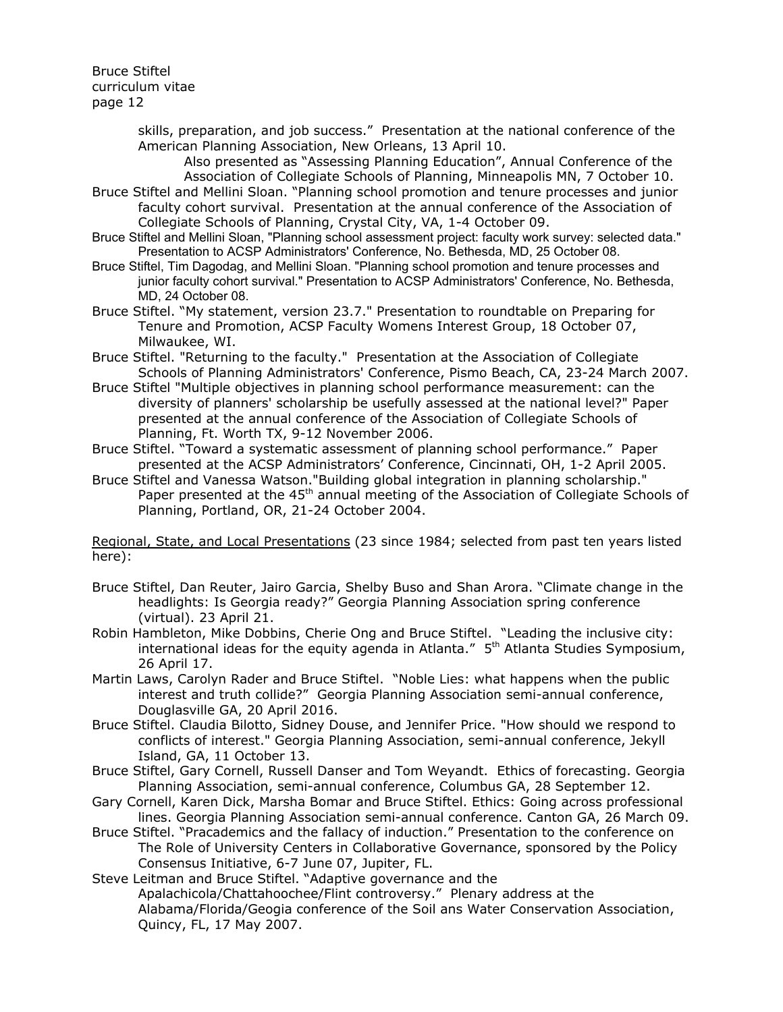> skills, preparation, and job success." Presentation at the national conference of the American Planning Association, New Orleans, 13 April 10.

Also presented as "Assessing Planning Education", Annual Conference of the Association of Collegiate Schools of Planning, Minneapolis MN, 7 October 10.

- Bruce Stiftel and Mellini Sloan. "Planning school promotion and tenure processes and junior faculty cohort survival. Presentation at the annual conference of the Association of Collegiate Schools of Planning, Crystal City, VA, 1-4 October 09.
- Bruce Stiftel and Mellini Sloan, "Planning school assessment project: faculty work survey: selected data." Presentation to ACSP Administrators' Conference, No. Bethesda, MD, 25 October 08.
- Bruce Stiftel, Tim Dagodag, and Mellini Sloan. "Planning school promotion and tenure processes and junior faculty cohort survival." Presentation to ACSP Administrators' Conference, No. Bethesda, MD, 24 October 08.
- Bruce Stiftel. "My statement, version 23.7." Presentation to roundtable on Preparing for Tenure and Promotion, ACSP Faculty Womens Interest Group, 18 October 07, Milwaukee, WI.
- Bruce Stiftel. "Returning to the faculty." Presentation at the Association of Collegiate Schools of Planning Administrators' Conference, Pismo Beach, CA, 23-24 March 2007.
- Bruce Stiftel "Multiple objectives in planning school performance measurement: can the diversity of planners' scholarship be usefully assessed at the national level?" Paper presented at the annual conference of the Association of Collegiate Schools of Planning, Ft. Worth TX, 9-12 November 2006.
- Bruce Stiftel. "Toward a systematic assessment of planning school performance." Paper presented at the ACSP Administrators' Conference, Cincinnati, OH, 1-2 April 2005.
- Bruce Stiftel and Vanessa Watson."Building global integration in planning scholarship." Paper presented at the 45<sup>th</sup> annual meeting of the Association of Collegiate Schools of Planning, Portland, OR, 21-24 October 2004.

Regional, State, and Local Presentations (23 since 1984; selected from past ten years listed here):

- Bruce Stiftel, Dan Reuter, Jairo Garcia, Shelby Buso and Shan Arora. "Climate change in the headlights: Is Georgia ready?" Georgia Planning Association spring conference (virtual). 23 April 21.
- Robin Hambleton, Mike Dobbins, Cherie Ong and Bruce Stiftel. "Leading the inclusive city: international ideas for the equity agenda in Atlanta." 5<sup>th</sup> Atlanta Studies Symposium, 26 April 17.
- Martin Laws, Carolyn Rader and Bruce Stiftel. "Noble Lies: what happens when the public interest and truth collide?" Georgia Planning Association semi-annual conference, Douglasville GA, 20 April 2016.
- Bruce Stiftel. Claudia Bilotto, Sidney Douse, and Jennifer Price. "How should we respond to conflicts of interest." Georgia Planning Association, semi-annual conference, Jekyll Island, GA, 11 October 13.
- Bruce Stiftel, Gary Cornell, Russell Danser and Tom Weyandt. Ethics of forecasting. Georgia Planning Association, semi-annual conference, Columbus GA, 28 September 12.
- Gary Cornell, Karen Dick, Marsha Bomar and Bruce Stiftel. Ethics: Going across professional lines. Georgia Planning Association semi-annual conference. Canton GA, 26 March 09.
- Bruce Stiftel. "Pracademics and the fallacy of induction." Presentation to the conference on The Role of University Centers in Collaborative Governance, sponsored by the Policy Consensus Initiative, 6-7 June 07, Jupiter, FL.

Steve Leitman and Bruce Stiftel. "Adaptive governance and the Apalachicola/Chattahoochee/Flint controversy." Plenary address at the Alabama/Florida/Geogia conference of the Soil ans Water Conservation Association, Quincy, FL, 17 May 2007.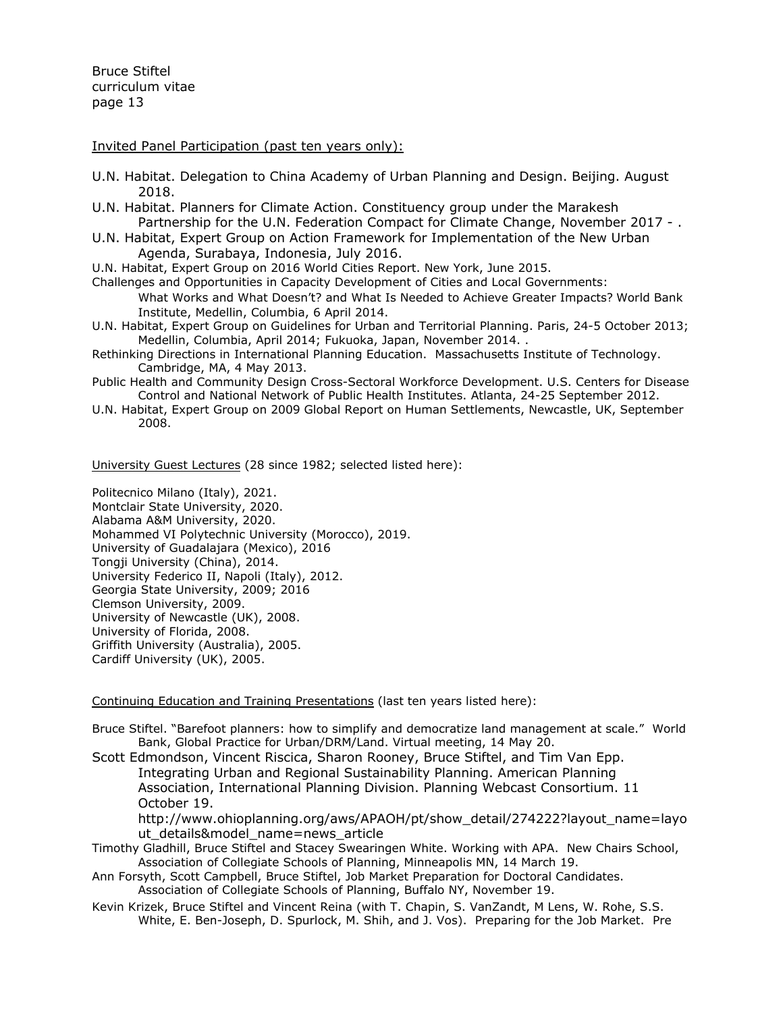Invited Panel Participation (past ten years only):

- U.N. Habitat. Delegation to China Academy of Urban Planning and Design. Beijing. August 2018.
- U.N. Habitat. Planners for Climate Action. Constituency group under the Marakesh Partnership for the U.N. Federation Compact for Climate Change, November 2017 - .
- U.N. Habitat, Expert Group on Action Framework for Implementation of the New Urban Agenda, Surabaya, Indonesia, July 2016.
- U.N. Habitat, Expert Group on 2016 World Cities Report. New York, June 2015.
- Challenges and Opportunities in Capacity Development of Cities and Local Governments:
	- What Works and What Doesn't? and What Is Needed to Achieve Greater Impacts? World Bank Institute, Medellin, Columbia, 6 April 2014.
- U.N. Habitat, Expert Group on Guidelines for Urban and Territorial Planning. Paris, 24-5 October 2013; Medellin, Columbia, April 2014; Fukuoka, Japan, November 2014. .
- Rethinking Directions in International Planning Education. Massachusetts Institute of Technology. Cambridge, MA, 4 May 2013.
- Public Health and Community Design Cross-Sectoral Workforce Development. U.S. Centers for Disease Control and National Network of Public Health Institutes. Atlanta, 24-25 September 2012.
- U.N. Habitat, Expert Group on 2009 Global Report on Human Settlements, Newcastle, UK, September 2008.

University Guest Lectures (28 since 1982; selected listed here):

Politecnico Milano (Italy), 2021. Montclair State University, 2020. Alabama A&M University, 2020. Mohammed VI Polytechnic University (Morocco), 2019. University of Guadalajara (Mexico), 2016 Tongji University (China), 2014. University Federico II, Napoli (Italy), 2012. Georgia State University, 2009; 2016 Clemson University, 2009. University of Newcastle (UK), 2008. University of Florida, 2008. Griffith University (Australia), 2005. Cardiff University (UK), 2005.

Continuing Education and Training Presentations (last ten years listed here):

- Bruce Stiftel. "Barefoot planners: how to simplify and democratize land management at scale." World Bank, Global Practice for Urban/DRM/Land. Virtual meeting, 14 May 20.
- Scott Edmondson, Vincent Riscica, Sharon Rooney, Bruce Stiftel, and Tim Van Epp. Integrating Urban and Regional Sustainability Planning. American Planning Association, International Planning Division. Planning Webcast Consortium. 11 October 19.

http://www.ohioplanning.org/aws/APAOH/pt/show\_detail/274222?layout\_name=layo ut details&model name=news article

- Timothy Gladhill, Bruce Stiftel and Stacey Swearingen White. Working with APA. New Chairs School, Association of Collegiate Schools of Planning, Minneapolis MN, 14 March 19.
- Ann Forsyth, Scott Campbell, Bruce Stiftel, Job Market Preparation for Doctoral Candidates. Association of Collegiate Schools of Planning, Buffalo NY, November 19.
- Kevin Krizek, Bruce Stiftel and Vincent Reina (with T. Chapin, S. VanZandt, M Lens, W. Rohe, S.S. White, E. Ben-Joseph, D. Spurlock, M. Shih, and J. Vos). Preparing for the Job Market. Pre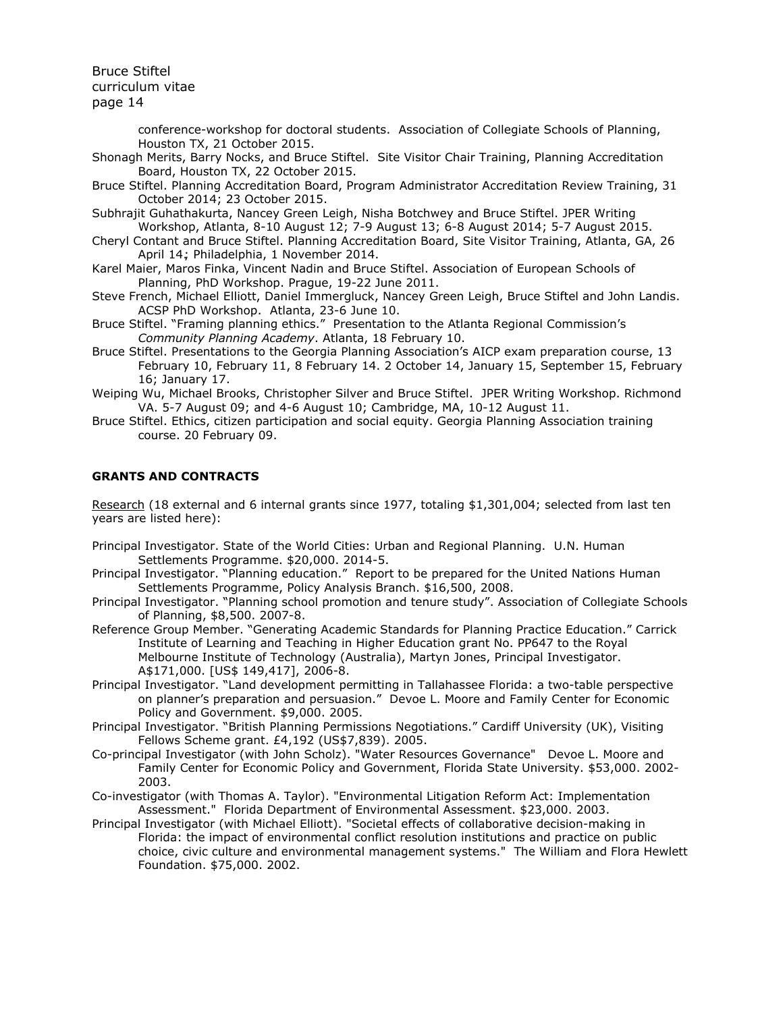> conference-workshop for doctoral students. Association of Collegiate Schools of Planning, Houston TX, 21 October 2015.

Shonagh Merits, Barry Nocks, and Bruce Stiftel. Site Visitor Chair Training, Planning Accreditation Board, Houston TX, 22 October 2015.

Bruce Stiftel. Planning Accreditation Board, Program Administrator Accreditation Review Training, 31 October 2014; 23 October 2015.

Subhrajit Guhathakurta, Nancey Green Leigh, Nisha Botchwey and Bruce Stiftel. JPER Writing Workshop, Atlanta, 8-10 August 12; 7-9 August 13; 6-8 August 2014; 5-7 August 2015.

Cheryl Contant and Bruce Stiftel. Planning Accreditation Board, Site Visitor Training, Atlanta, GA, 26 April 14.; Philadelphia, 1 November 2014.

Karel Maier, Maros Finka, Vincent Nadin and Bruce Stiftel. Association of European Schools of Planning, PhD Workshop. Prague, 19-22 June 2011.

Steve French, Michael Elliott, Daniel Immergluck, Nancey Green Leigh, Bruce Stiftel and John Landis. ACSP PhD Workshop. Atlanta, 23-6 June 10.

Bruce Stiftel. "Framing planning ethics." Presentation to the Atlanta Regional Commission's *Community Planning Academy*. Atlanta, 18 February 10.

Bruce Stiftel. Presentations to the Georgia Planning Association's AICP exam preparation course, 13 February 10, February 11, 8 February 14. 2 October 14, January 15, September 15, February 16; January 17.

Weiping Wu, Michael Brooks, Christopher Silver and Bruce Stiftel. JPER Writing Workshop. Richmond VA. 5-7 August 09; and 4-6 August 10; Cambridge, MA, 10-12 August 11.

Bruce Stiftel. Ethics, citizen participation and social equity. Georgia Planning Association training course. 20 February 09.

## **GRANTS AND CONTRACTS**

Research (18 external and 6 internal grants since 1977, totaling \$1,301,004; selected from last ten years are listed here):

- Principal Investigator. State of the World Cities: Urban and Regional Planning. U.N. Human Settlements Programme. \$20,000. 2014-5.
- Principal Investigator. "Planning education." Report to be prepared for the United Nations Human Settlements Programme, Policy Analysis Branch. \$16,500, 2008.
- Principal Investigator. "Planning school promotion and tenure study". Association of Collegiate Schools of Planning, \$8,500. 2007-8.
- Reference Group Member. "Generating Academic Standards for Planning Practice Education." Carrick Institute of Learning and Teaching in Higher Education grant No. PP647 to the Royal Melbourne Institute of Technology (Australia), Martyn Jones, Principal Investigator. A\$171,000. [US\$ 149,417], 2006-8.
- Principal Investigator. "Land development permitting in Tallahassee Florida: a two-table perspective on planner's preparation and persuasion." Devoe L. Moore and Family Center for Economic Policy and Government. \$9,000. 2005.
- Principal Investigator. "British Planning Permissions Negotiations." Cardiff University (UK), Visiting Fellows Scheme grant. £4,192 (US\$7,839). 2005.
- Co-principal Investigator (with John Scholz). "Water Resources Governance" Devoe L. Moore and Family Center for Economic Policy and Government, Florida State University. \$53,000. 2002- 2003.
- Co-investigator (with Thomas A. Taylor). "Environmental Litigation Reform Act: Implementation Assessment." Florida Department of Environmental Assessment. \$23,000. 2003.
- Principal Investigator (with Michael Elliott). "Societal effects of collaborative decision-making in Florida: the impact of environmental conflict resolution institutions and practice on public choice, civic culture and environmental management systems." The William and Flora Hewlett Foundation. \$75,000. 2002.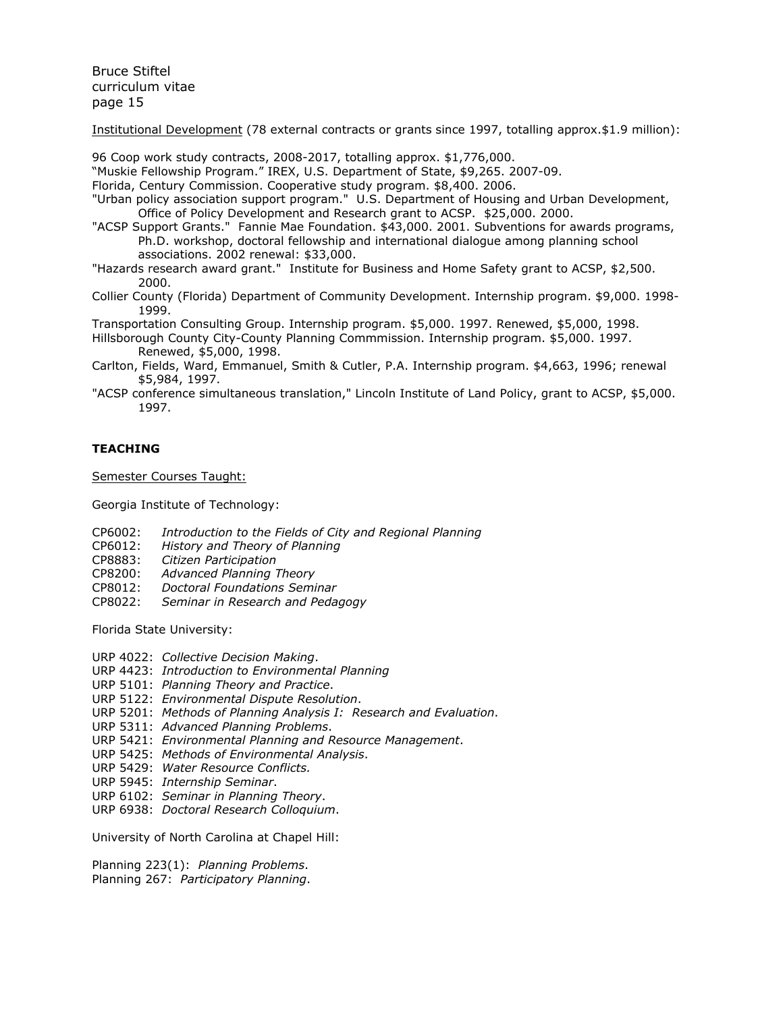Institutional Development (78 external contracts or grants since 1997, totalling approx.\$1.9 million):

96 Coop work study contracts, 2008-2017, totalling approx. \$1,776,000.

"Muskie Fellowship Program." IREX, U.S. Department of State, \$9,265. 2007-09.

Florida, Century Commission. Cooperative study program. \$8,400. 2006.

"Urban policy association support program." U.S. Department of Housing and Urban Development, Office of Policy Development and Research grant to ACSP. \$25,000. 2000.

"ACSP Support Grants." Fannie Mae Foundation. \$43,000. 2001. Subventions for awards programs, Ph.D. workshop, doctoral fellowship and international dialogue among planning school associations. 2002 renewal: \$33,000.

"Hazards research award grant." Institute for Business and Home Safety grant to ACSP, \$2,500. 2000.

Collier County (Florida) Department of Community Development. Internship program. \$9,000. 1998- 1999.

Transportation Consulting Group. Internship program. \$5,000. 1997. Renewed, \$5,000, 1998.

Hillsborough County City-County Planning Commmission. Internship program. \$5,000. 1997. Renewed, \$5,000, 1998.

- Carlton, Fields, Ward, Emmanuel, Smith & Cutler, P.A. Internship program. \$4,663, 1996; renewal \$5,984, 1997.
- "ACSP conference simultaneous translation," Lincoln Institute of Land Policy, grant to ACSP, \$5,000. 1997.

# **TEACHING**

Semester Courses Taught:

Georgia Institute of Technology:

- CP6002: *Introduction to the Fields of City and Regional Planning*
- CP6012: *History and Theory of Planning*
- CP8883: *Citizen Participation*
- CP8200: *Advanced Planning Theory*
- CP8012: *Doctoral Foundations Seminar*
- CP8022: *Seminar in Research and Pedagogy*

Florida State University:

- URP 4022: *Collective Decision Making*.
- URP 4423: *Introduction to Environmental Planning*
- URP 5101: *Planning Theory and Practice*.
- URP 5122: *Environmental Dispute Resolution*.
- URP 5201: *Methods of Planning Analysis I: Research and Evaluation*.
- URP 5311: *Advanced Planning Problems*.
- URP 5421: *Environmental Planning and Resource Management*.
- URP 5425: *Methods of Environmental Analysis*.
- URP 5429: *Water Resource Conflicts.*
- URP 5945: *Internship Seminar*.
- URP 6102: *Seminar in Planning Theory*.
- URP 6938: *Doctoral Research Colloquium*.

University of North Carolina at Chapel Hill:

Planning 223(1): *Planning Problems*. Planning 267: *Participatory Planning*.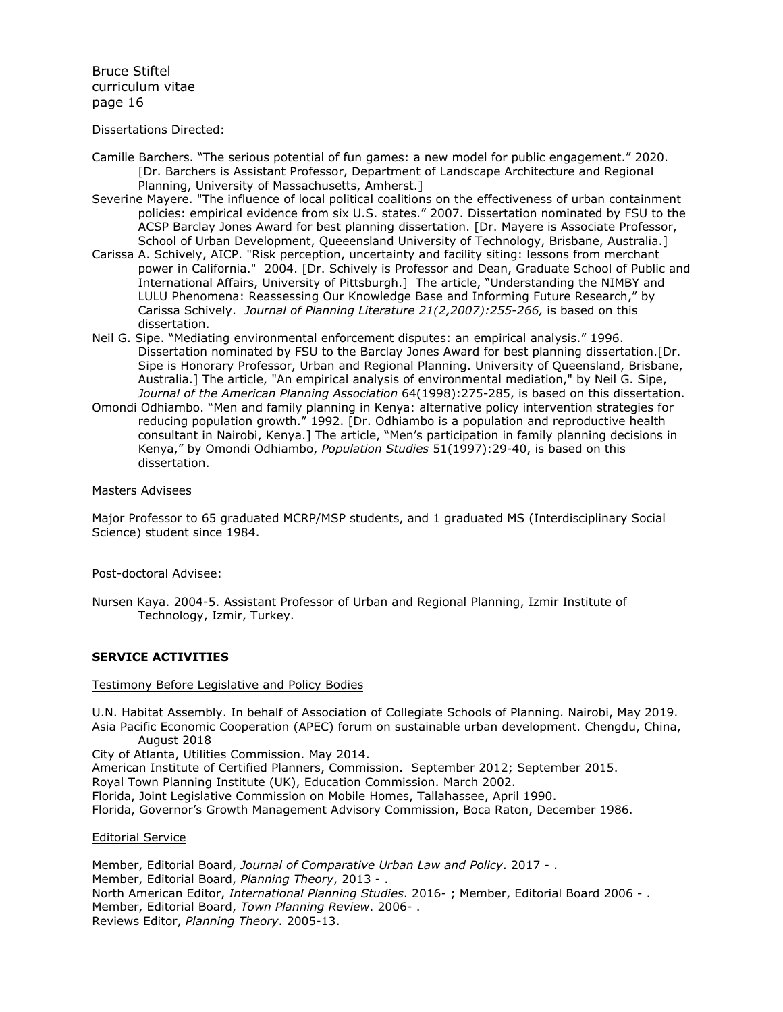### Dissertations Directed:

- Camille Barchers. "The serious potential of fun games: a new model for public engagement." 2020. [Dr. Barchers is Assistant Professor, Department of Landscape Architecture and Regional Planning, University of Massachusetts, Amherst.]
- Severine Mayere. "The influence of local political coalitions on the effectiveness of urban containment policies: empirical evidence from six U.S. states." 2007. Dissertation nominated by FSU to the ACSP Barclay Jones Award for best planning dissertation. [Dr. Mayere is Associate Professor, School of Urban Development, Queeensland University of Technology, Brisbane, Australia.]
- Carissa A. Schively, AICP. "Risk perception, uncertainty and facility siting: lessons from merchant power in California." 2004. [Dr. Schively is Professor and Dean, Graduate School of Public and International Affairs, University of Pittsburgh.] The article, "Understanding the NIMBY and LULU Phenomena: Reassessing Our Knowledge Base and Informing Future Research," by Carissa Schively. *Journal of Planning Literature 21(2,2007):255-266,* is based on this dissertation.
- Neil G. Sipe. "Mediating environmental enforcement disputes: an empirical analysis." 1996. Dissertation nominated by FSU to the Barclay Jones Award for best planning dissertation.[Dr. Sipe is Honorary Professor, Urban and Regional Planning. University of Queensland, Brisbane, Australia.] The article, "An empirical analysis of environmental mediation," by Neil G. Sipe, *Journal of the American Planning Association* 64(1998):275-285, is based on this dissertation.
- Omondi Odhiambo. "Men and family planning in Kenya: alternative policy intervention strategies for reducing population growth." 1992. [Dr. Odhiambo is a population and reproductive health consultant in Nairobi, Kenya.] The article, "Men's participation in family planning decisions in Kenya," by Omondi Odhiambo, *Population Studies* 51(1997):29-40, is based on this dissertation.

### Masters Advisees

Major Professor to 65 graduated MCRP/MSP students, and 1 graduated MS (Interdisciplinary Social Science) student since 1984.

#### Post-doctoral Advisee:

Nursen Kaya. 2004-5. Assistant Professor of Urban and Regional Planning, Izmir Institute of Technology, Izmir, Turkey.

## **SERVICE ACTIVITIES**

#### Testimony Before Legislative and Policy Bodies

U.N. Habitat Assembly. In behalf of Association of Collegiate Schools of Planning. Nairobi, May 2019. Asia Pacific Economic Cooperation (APEC) forum on sustainable urban development. Chengdu, China, August 2018

City of Atlanta, Utilities Commission. May 2014.

American Institute of Certified Planners, Commission. September 2012; September 2015.

Royal Town Planning Institute (UK), Education Commission. March 2002.

Florida, Joint Legislative Commission on Mobile Homes, Tallahassee, April 1990.

Florida, Governor's Growth Management Advisory Commission, Boca Raton, December 1986.

Editorial Service

Member, Editorial Board, *Journal of Comparative Urban Law and Policy*. 2017 - . Member, Editorial Board, *Planning Theory*, 2013 - . North American Editor, *International Planning Studies*. 2016- ; Member, Editorial Board 2006 - . Member, Editorial Board, *Town Planning Review*. 2006- . Reviews Editor, *Planning Theory*. 2005-13.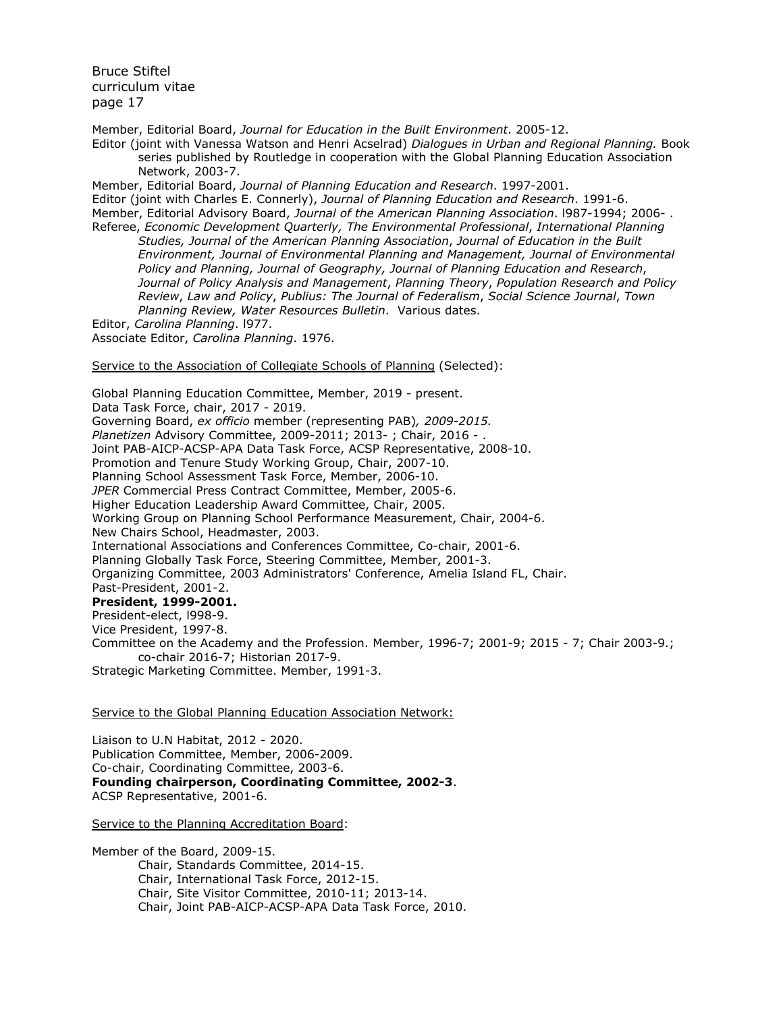Member, Editorial Board, *Journal for Education in the Built Environment*. 2005-12.

Editor (joint with Vanessa Watson and Henri Acselrad) *Dialogues in Urban and Regional Planning.* Book series published by Routledge in cooperation with the Global Planning Education Association Network, 2003-7.

Member, Editorial Board, *Journal of Planning Education and Research*. 1997-2001. Editor (joint with Charles E. Connerly), *Journal of Planning Education and Research*. 1991-6. Member, Editorial Advisory Board, *Journal of the American Planning Association*. l987-1994; 2006- . Referee, *Economic Development Quarterly, The Environmental Professional*, *International Planning*

*Studies, Journal of the American Planning Association*, *Journal of Education in the Built Environment, Journal of Environmental Planning and Management, Journal of Environmental Policy and Planning, Journal of Geography, Journal of Planning Education and Research*, *Journal of Policy Analysis and Management*, *Planning Theory*, *Population Research and Policy Review*, *Law and Policy*, *Publius: The Journal of Federalism*, *Social Science Journal*, *Town Planning Review, Water Resources Bulletin*. Various dates.

Editor, *Carolina Planning*. l977.

Associate Editor, *Carolina Planning*. 1976.

Service to the Association of Collegiate Schools of Planning (Selected):

Global Planning Education Committee, Member, 2019 - present. Data Task Force, chair, 2017 - 2019. Governing Board, *ex officio* member (representing PAB)*, 2009-2015. Planetizen* Advisory Committee, 2009-2011; 2013- ; Chair, 2016 - . Joint PAB-AICP-ACSP-APA Data Task Force, ACSP Representative, 2008-10. Promotion and Tenure Study Working Group, Chair, 2007-10. Planning School Assessment Task Force, Member, 2006-10. *JPER* Commercial Press Contract Committee, Member, 2005-6. Higher Education Leadership Award Committee, Chair, 2005. Working Group on Planning School Performance Measurement, Chair, 2004-6. New Chairs School, Headmaster, 2003. International Associations and Conferences Committee, Co-chair, 2001-6. Planning Globally Task Force, Steering Committee, Member, 2001-3. Organizing Committee, 2003 Administrators' Conference, Amelia Island FL, Chair. Past-President, 2001-2. **President, 1999-2001.** President-elect, l998-9. Vice President, 1997-8. Committee on the Academy and the Profession. Member, 1996-7; 2001-9; 2015 - 7; Chair 2003-9.; co-chair 2016-7; Historian 2017-9.

Strategic Marketing Committee. Member, 1991-3.

## Service to the Global Planning Education Association Network:

Liaison to U.N Habitat, 2012 - 2020. Publication Committee, Member, 2006-2009. Co-chair, Coordinating Committee, 2003-6. **Founding chairperson, Coordinating Committee, 2002-3**. ACSP Representative, 2001-6.

Service to the Planning Accreditation Board:

Member of the Board, 2009-15. Chair, Standards Committee, 2014-15. Chair, International Task Force, 2012-15. Chair, Site Visitor Committee, 2010-11; 2013-14. Chair, Joint PAB-AICP-ACSP-APA Data Task Force, 2010.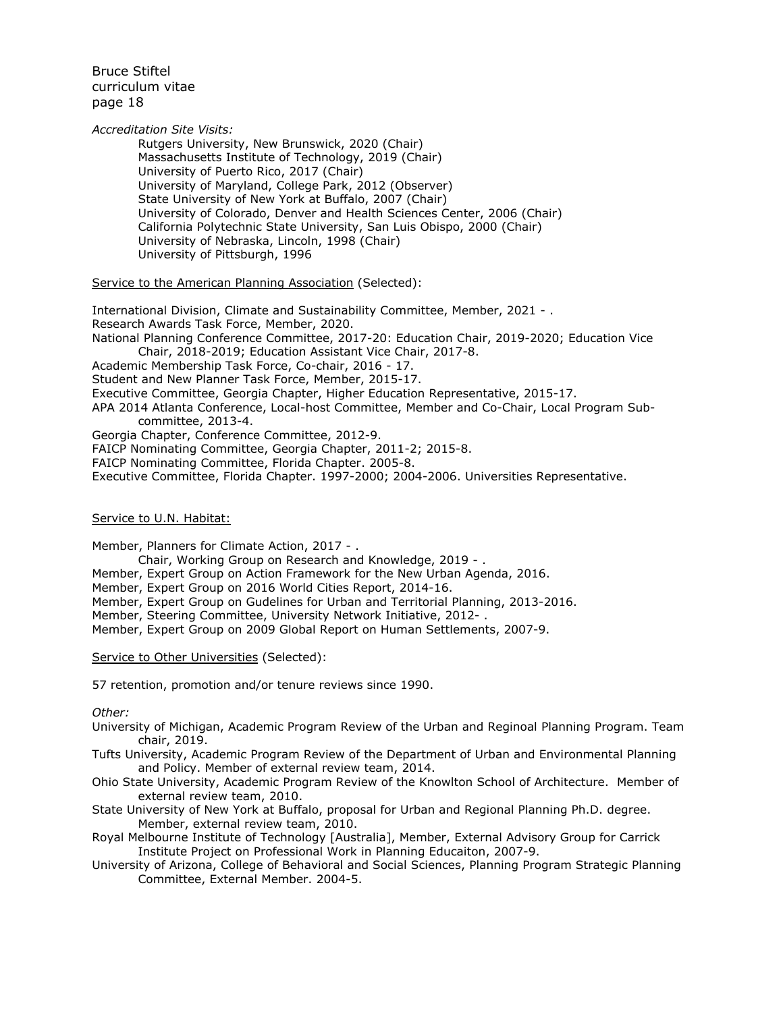*Accreditation Site Visits:*

Rutgers University, New Brunswick, 2020 (Chair) Massachusetts Institute of Technology, 2019 (Chair) University of Puerto Rico, 2017 (Chair) University of Maryland, College Park, 2012 (Observer) State University of New York at Buffalo, 2007 (Chair) University of Colorado, Denver and Health Sciences Center, 2006 (Chair) California Polytechnic State University, San Luis Obispo, 2000 (Chair) University of Nebraska, Lincoln, 1998 (Chair) University of Pittsburgh, 1996

Service to the American Planning Association (Selected):

International Division, Climate and Sustainability Committee, Member, 2021 - . Research Awards Task Force, Member, 2020. National Planning Conference Committee, 2017-20: Education Chair, 2019-2020; Education Vice Chair, 2018-2019; Education Assistant Vice Chair, 2017-8. Academic Membership Task Force, Co-chair, 2016 - 17. Student and New Planner Task Force, Member, 2015-17. Executive Committee, Georgia Chapter, Higher Education Representative, 2015-17. APA 2014 Atlanta Conference, Local-host Committee, Member and Co-Chair, Local Program Subcommittee, 2013-4. Georgia Chapter, Conference Committee, 2012-9. FAICP Nominating Committee, Georgia Chapter, 2011-2; 2015-8. FAICP Nominating Committee, Florida Chapter. 2005-8.

Executive Committee, Florida Chapter. 1997-2000; 2004-2006. Universities Representative.

### Service to U.N. Habitat:

Member, Planners for Climate Action, 2017 - . Chair, Working Group on Research and Knowledge, 2019 - . Member, Expert Group on Action Framework for the New Urban Agenda, 2016. Member, Expert Group on 2016 World Cities Report, 2014-16. Member, Expert Group on Gudelines for Urban and Territorial Planning, 2013-2016. Member, Steering Committee, University Network Initiative, 2012- . Member, Expert Group on 2009 Global Report on Human Settlements, 2007-9.

Service to Other Universities (Selected):

57 retention, promotion and/or tenure reviews since 1990.

*Other:*

University of Michigan, Academic Program Review of the Urban and Reginoal Planning Program. Team chair, 2019.

Tufts University, Academic Program Review of the Department of Urban and Environmental Planning and Policy. Member of external review team, 2014.

Ohio State University, Academic Program Review of the Knowlton School of Architecture. Member of external review team, 2010.

State University of New York at Buffalo, proposal for Urban and Regional Planning Ph.D. degree. Member, external review team, 2010.

Royal Melbourne Institute of Technology [Australia], Member, External Advisory Group for Carrick Institute Project on Professional Work in Planning Educaiton, 2007-9.

University of Arizona, College of Behavioral and Social Sciences, Planning Program Strategic Planning Committee, External Member. 2004-5.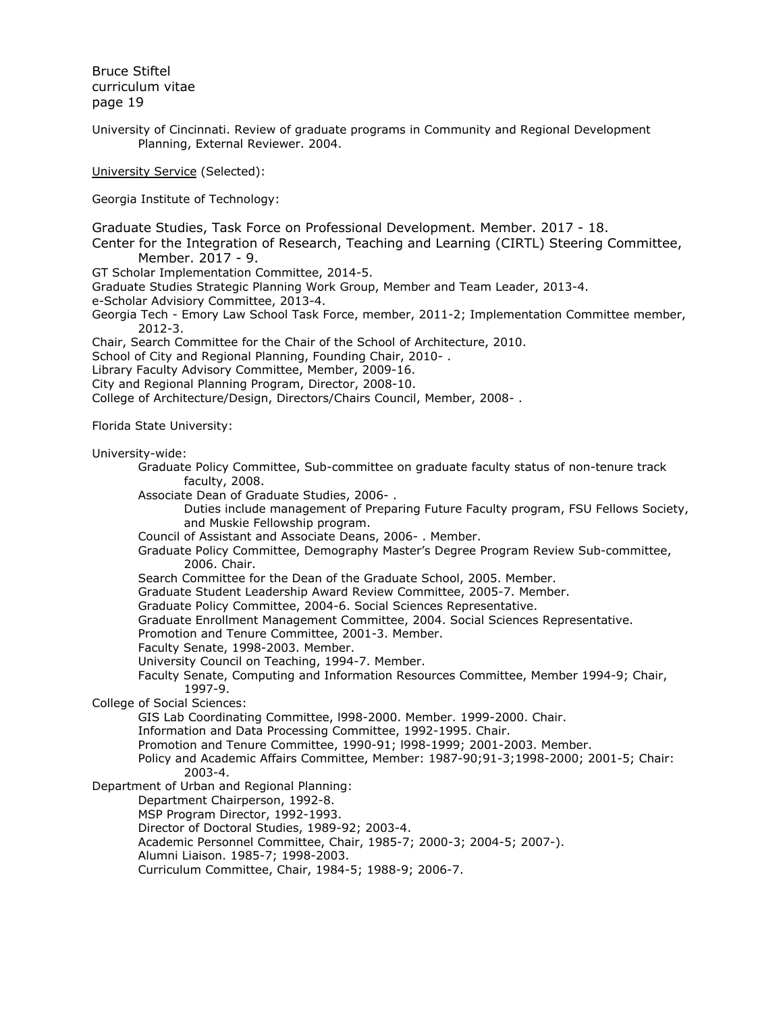University of Cincinnati. Review of graduate programs in Community and Regional Development Planning, External Reviewer. 2004.

University Service (Selected):

Georgia Institute of Technology:

Graduate Studies, Task Force on Professional Development. Member. 2017 - 18.

Center for the Integration of Research, Teaching and Learning (CIRTL) Steering Committee, Member. 2017 - 9.

GT Scholar Implementation Committee, 2014-5.

Graduate Studies Strategic Planning Work Group, Member and Team Leader, 2013-4.

e-Scholar Advisiory Committee, 2013-4.

Georgia Tech - Emory Law School Task Force, member, 2011-2; Implementation Committee member, 2012-3.

Chair, Search Committee for the Chair of the School of Architecture, 2010.

School of City and Regional Planning, Founding Chair, 2010- .

Library Faculty Advisory Committee, Member, 2009-16.

City and Regional Planning Program, Director, 2008-10.

College of Architecture/Design, Directors/Chairs Council, Member, 2008- .

Florida State University:

University-wide:

Graduate Policy Committee, Sub-committee on graduate faculty status of non-tenure track faculty, 2008.

Associate Dean of Graduate Studies, 2006- .

Duties include management of Preparing Future Faculty program, FSU Fellows Society, and Muskie Fellowship program.

Council of Assistant and Associate Deans, 2006- . Member.

Graduate Policy Committee, Demography Master's Degree Program Review Sub-committee, 2006. Chair.

Search Committee for the Dean of the Graduate School, 2005. Member.

Graduate Student Leadership Award Review Committee, 2005-7. Member.

Graduate Policy Committee, 2004-6. Social Sciences Representative.

Graduate Enrollment Management Committee, 2004. Social Sciences Representative.

Promotion and Tenure Committee, 2001-3. Member.

Faculty Senate, 1998-2003. Member.

University Council on Teaching, 1994-7. Member.

Faculty Senate, Computing and Information Resources Committee, Member 1994-9; Chair, 1997-9.

College of Social Sciences:

GIS Lab Coordinating Committee, l998-2000. Member. 1999-2000. Chair.

Information and Data Processing Committee, 1992-1995. Chair.

Promotion and Tenure Committee, 1990-91; l998-1999; 2001-2003. Member.

Policy and Academic Affairs Committee, Member: 1987-90;91-3;1998-2000; 2001-5; Chair: 2003-4.

Department of Urban and Regional Planning:

Department Chairperson, 1992-8.

MSP Program Director, 1992-1993.

Director of Doctoral Studies, 1989-92; 2003-4.

Academic Personnel Committee, Chair, 1985-7; 2000-3; 2004-5; 2007-).

Alumni Liaison. 1985-7; 1998-2003.

Curriculum Committee, Chair, 1984-5; 1988-9; 2006-7.